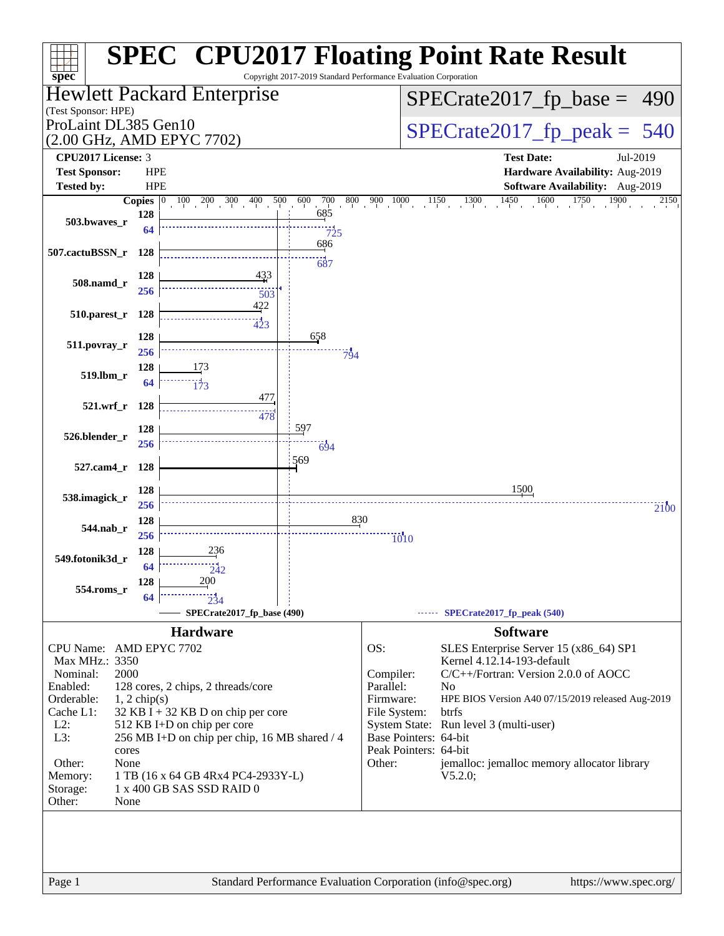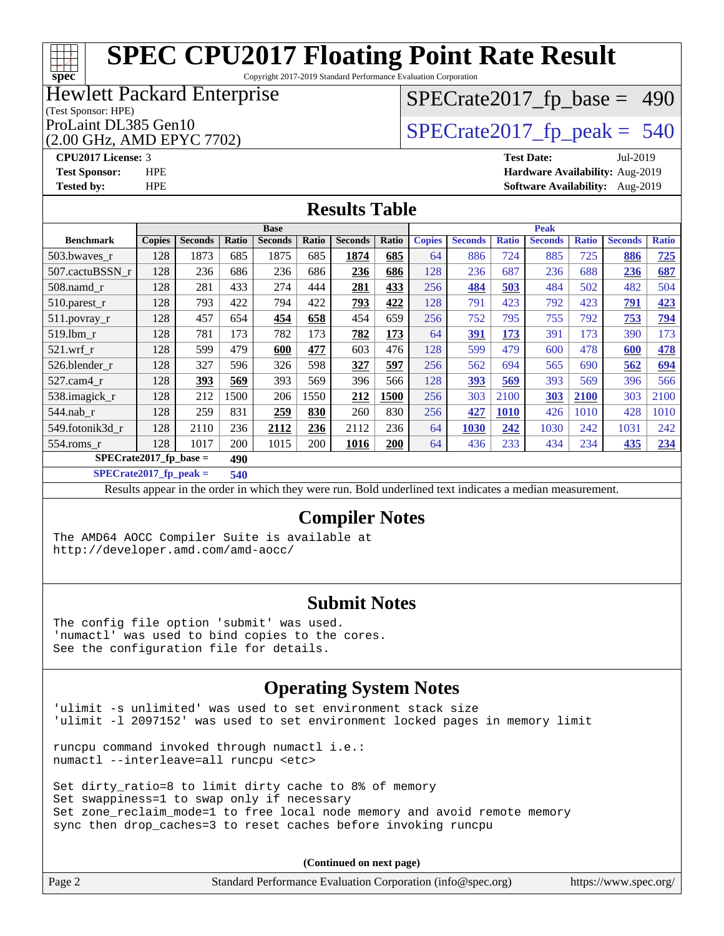Copyright 2017-2019 Standard Performance Evaluation Corporation

### Hewlett Packard Enterprise

#### (Test Sponsor: HPE)

#### (2.00 GHz, AMD EPYC 7702)

[SPECrate2017\\_fp\\_base =](http://www.spec.org/auto/cpu2017/Docs/result-fields.html#SPECrate2017fpbase) 490

ProLaint DL385 Gen10<br>(2.00 GHz, AMD EPYC 7702)  $\qquad$  [SPECrate2017\\_fp\\_peak =](http://www.spec.org/auto/cpu2017/Docs/result-fields.html#SPECrate2017fppeak) 540

**[CPU2017 License:](http://www.spec.org/auto/cpu2017/Docs/result-fields.html#CPU2017License)** 3 **[Test Date:](http://www.spec.org/auto/cpu2017/Docs/result-fields.html#TestDate)** Jul-2019 **[Test Sponsor:](http://www.spec.org/auto/cpu2017/Docs/result-fields.html#TestSponsor)** HPE **[Hardware Availability:](http://www.spec.org/auto/cpu2017/Docs/result-fields.html#HardwareAvailability)** Aug-2019 **[Tested by:](http://www.spec.org/auto/cpu2017/Docs/result-fields.html#Testedby)** HPE **[Software Availability:](http://www.spec.org/auto/cpu2017/Docs/result-fields.html#SoftwareAvailability)** Aug-2019

#### **[Results Table](http://www.spec.org/auto/cpu2017/Docs/result-fields.html#ResultsTable)**

|                          |               |                |       | <b>Base</b>    |       |                |       |               |                |              | <b>Peak</b>    |              |                |              |
|--------------------------|---------------|----------------|-------|----------------|-------|----------------|-------|---------------|----------------|--------------|----------------|--------------|----------------|--------------|
| <b>Benchmark</b>         | <b>Copies</b> | <b>Seconds</b> | Ratio | <b>Seconds</b> | Ratio | <b>Seconds</b> | Ratio | <b>Copies</b> | <b>Seconds</b> | <b>Ratio</b> | <b>Seconds</b> | <b>Ratio</b> | <b>Seconds</b> | <b>Ratio</b> |
| 503.bwayes r             | 128           | 1873           | 685   | 1875           | 685   | 1874           | 685   | 64            | 886            | 724          | 885            | 725          | 886            | 725          |
| 507.cactuBSSN r          | 128           | 236            | 686   | 236            | 686   | 236            | 686   | 128           | 236            | 687          | 236            | 688          | 236            | 687          |
| $508$ .namd $r$          | 128           | 281            | 433   | 274            | 444   | 281            | 433   | 256           | 484            | 503          | 484            | 502          | 482            | 504          |
| 510.parest_r             | 128           | 793            | 422   | 794            | 422   | 793            | 422   | 128           | 791            | 423          | 792            | 423          | 791            | 423          |
| 511.povray_r             | 128           | 457            | 654   | 454            | 658   | 454            | 659   | 256           | 752            | 795          | 755            | 792          | 753            | 794          |
| 519.lbm r                | 128           | 781            | 173   | 782            | 173   | 782            | 173   | 64            | 391            | 173          | 391            | 173          | 390            | 173          |
| $521$ .wrf r             | 128           | 599            | 479   | 600            | 477   | 603            | 476   | 128           | 599            | 479          | 600            | 478          | 600            | <u>478</u>   |
| 526.blender r            | 128           | 327            | 596   | 326            | 598   | 327            | 597   | 256           | 562            | 694          | 565            | 690          | 562            | <u>694</u>   |
| 527.cam4 r               | 128           | 393            | 569   | 393            | 569   | 396            | 566   | 128           | 393            | 569          | 393            | 569          | 396            | 566          |
| 538.imagick_r            | 128           | 212            | 1500  | 206            | 1550  | 212            | 1500  | 256           | 303            | 2100         | 303            | 2100         | 303            | 2100         |
| $544$ .nab r             | 128           | 259            | 831   | 259            | 830   | 260            | 830   | 256           | 427            | <b>1010</b>  | 426            | 1010         | 428            | 1010         |
| 549.fotonik3d r          | 128           | 2110           | 236   | 2112           | 236   | 2112           | 236   | 64            | 1030           | 242          | 1030           | 242          | 1031           | 242          |
| $554$ .roms r            | 128           | 1017           | 200   | 1015           | 200   | 1016           | 200   | 64            | 436            | 233          | 434            | 234          | 435            | 234          |
| $SPECrate2017$ fp base = |               |                | 490   |                |       |                |       |               |                |              |                |              |                |              |

**[SPECrate2017\\_fp\\_peak =](http://www.spec.org/auto/cpu2017/Docs/result-fields.html#SPECrate2017fppeak) 540**

Results appear in the [order in which they were run](http://www.spec.org/auto/cpu2017/Docs/result-fields.html#RunOrder). Bold underlined text [indicates a median measurement](http://www.spec.org/auto/cpu2017/Docs/result-fields.html#Median).

#### **[Compiler Notes](http://www.spec.org/auto/cpu2017/Docs/result-fields.html#CompilerNotes)**

The AMD64 AOCC Compiler Suite is available at <http://developer.amd.com/amd-aocc/>

#### **[Submit Notes](http://www.spec.org/auto/cpu2017/Docs/result-fields.html#SubmitNotes)**

The config file option 'submit' was used. 'numactl' was used to bind copies to the cores. See the configuration file for details.

### **[Operating System Notes](http://www.spec.org/auto/cpu2017/Docs/result-fields.html#OperatingSystemNotes)**

'ulimit -s unlimited' was used to set environment stack size 'ulimit -l 2097152' was used to set environment locked pages in memory limit

runcpu command invoked through numactl i.e.: numactl --interleave=all runcpu <etc>

Set dirty\_ratio=8 to limit dirty cache to 8% of memory Set swappiness=1 to swap only if necessary Set zone\_reclaim\_mode=1 to free local node memory and avoid remote memory sync then drop\_caches=3 to reset caches before invoking runcpu

**(Continued on next page)**

| Page 2 | Standard Performance Evaluation Corporation (info@spec.org) | https://www.spec.org/ |
|--------|-------------------------------------------------------------|-----------------------|

a tim **[spec](http://www.spec.org/)**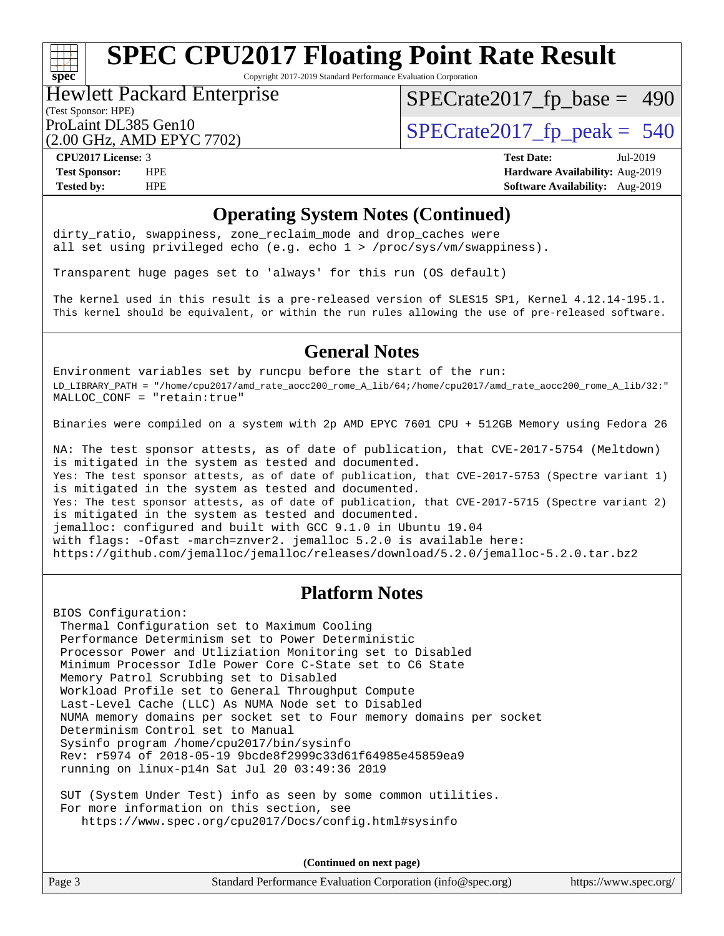Copyright 2017-2019 Standard Performance Evaluation Corporation

#### (Test Sponsor: HPE) Hewlett Packard Enterprise

[SPECrate2017\\_fp\\_base =](http://www.spec.org/auto/cpu2017/Docs/result-fields.html#SPECrate2017fpbase) 490

(2.00 GHz, AMD EPYC 7702)

ProLaint DL385 Gen10<br>  $\alpha$  on  $G$ H<sub>z</sub> AMD FPVC 7702)

**[spec](http://www.spec.org/)**

**[CPU2017 License:](http://www.spec.org/auto/cpu2017/Docs/result-fields.html#CPU2017License)** 3 **[Test Date:](http://www.spec.org/auto/cpu2017/Docs/result-fields.html#TestDate)** Jul-2019 **[Test Sponsor:](http://www.spec.org/auto/cpu2017/Docs/result-fields.html#TestSponsor)** HPE **[Hardware Availability:](http://www.spec.org/auto/cpu2017/Docs/result-fields.html#HardwareAvailability)** Aug-2019 **[Tested by:](http://www.spec.org/auto/cpu2017/Docs/result-fields.html#Testedby)** HPE **[Software Availability:](http://www.spec.org/auto/cpu2017/Docs/result-fields.html#SoftwareAvailability)** Aug-2019

#### **[Operating System Notes \(Continued\)](http://www.spec.org/auto/cpu2017/Docs/result-fields.html#OperatingSystemNotes)**

dirty\_ratio, swappiness, zone\_reclaim\_mode and drop caches were all set using privileged echo (e.g. echo 1 > /proc/sys/vm/swappiness).

Transparent huge pages set to 'always' for this run (OS default)

The kernel used in this result is a pre-released version of SLES15 SP1, Kernel 4.12.14-195.1. This kernel should be equivalent, or within the run rules allowing the use of pre-released software.

#### **[General Notes](http://www.spec.org/auto/cpu2017/Docs/result-fields.html#GeneralNotes)**

Environment variables set by runcpu before the start of the run: LD\_LIBRARY\_PATH = "/home/cpu2017/amd\_rate\_aocc200\_rome\_A\_lib/64;/home/cpu2017/amd\_rate\_aocc200\_rome\_A\_lib/32:" MALLOC\_CONF = "retain:true"

Binaries were compiled on a system with 2p AMD EPYC 7601 CPU + 512GB Memory using Fedora 26

NA: The test sponsor attests, as of date of publication, that CVE-2017-5754 (Meltdown) is mitigated in the system as tested and documented. Yes: The test sponsor attests, as of date of publication, that CVE-2017-5753 (Spectre variant 1) is mitigated in the system as tested and documented. Yes: The test sponsor attests, as of date of publication, that CVE-2017-5715 (Spectre variant 2) is mitigated in the system as tested and documented. jemalloc: configured and built with GCC 9.1.0 in Ubuntu 19.04 with flags: -Ofast -march=znver2. jemalloc 5.2.0 is available here: <https://github.com/jemalloc/jemalloc/releases/download/5.2.0/jemalloc-5.2.0.tar.bz2>

#### **[Platform Notes](http://www.spec.org/auto/cpu2017/Docs/result-fields.html#PlatformNotes)**

BIOS Configuration:

 Thermal Configuration set to Maximum Cooling Performance Determinism set to Power Deterministic Processor Power and Utliziation Monitoring set to Disabled Minimum Processor Idle Power Core C-State set to C6 State Memory Patrol Scrubbing set to Disabled Workload Profile set to General Throughput Compute Last-Level Cache (LLC) As NUMA Node set to Disabled NUMA memory domains per socket set to Four memory domains per socket Determinism Control set to Manual Sysinfo program /home/cpu2017/bin/sysinfo Rev: r5974 of 2018-05-19 9bcde8f2999c33d61f64985e45859ea9 running on linux-p14n Sat Jul 20 03:49:36 2019

 SUT (System Under Test) info as seen by some common utilities. For more information on this section, see <https://www.spec.org/cpu2017/Docs/config.html#sysinfo>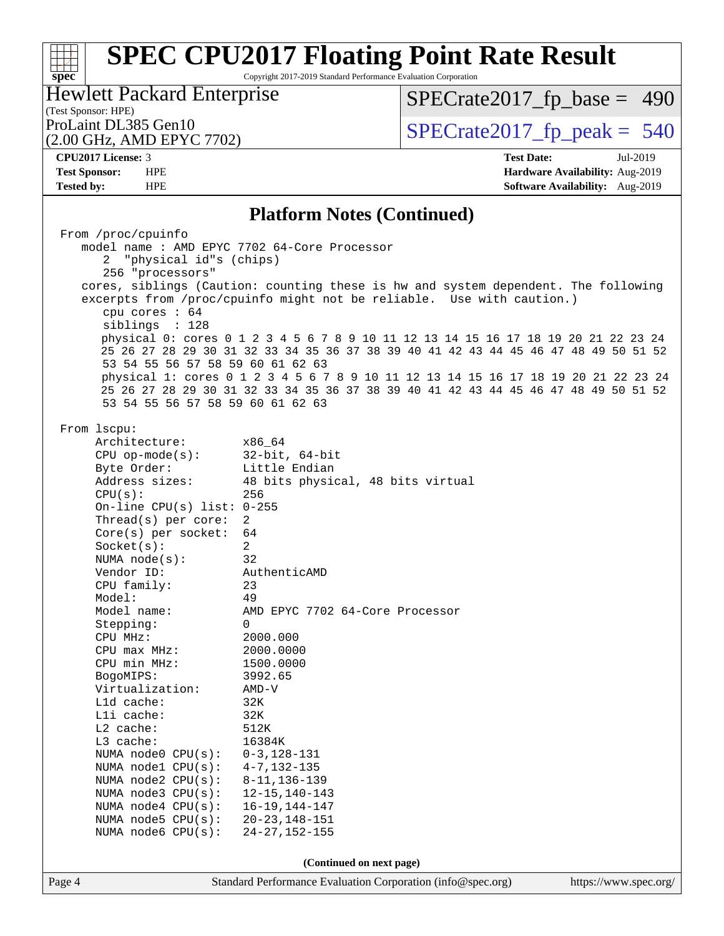Copyright 2017-2019 Standard Performance Evaluation Corporation

(Test Sponsor: HPE) Hewlett Packard Enterprise

[SPECrate2017\\_fp\\_base =](http://www.spec.org/auto/cpu2017/Docs/result-fields.html#SPECrate2017fpbase) 490

(2.00 GHz, AMD EPYC 7702)

ProLaint DL385 Gen10<br>  $(2.00 \text{ GHz} \cdot \text{AMD FPYC} \cdot 7702)$  [SPECrate2017\\_fp\\_peak =](http://www.spec.org/auto/cpu2017/Docs/result-fields.html#SPECrate2017fppeak) 540

**[spec](http://www.spec.org/)**

**[CPU2017 License:](http://www.spec.org/auto/cpu2017/Docs/result-fields.html#CPU2017License)** 3 **[Test Date:](http://www.spec.org/auto/cpu2017/Docs/result-fields.html#TestDate)** Jul-2019 **[Test Sponsor:](http://www.spec.org/auto/cpu2017/Docs/result-fields.html#TestSponsor)** HPE **[Hardware Availability:](http://www.spec.org/auto/cpu2017/Docs/result-fields.html#HardwareAvailability)** Aug-2019 **[Tested by:](http://www.spec.org/auto/cpu2017/Docs/result-fields.html#Testedby)** HPE **[Software Availability:](http://www.spec.org/auto/cpu2017/Docs/result-fields.html#SoftwareAvailability)** Aug-2019

#### **[Platform Notes \(Continued\)](http://www.spec.org/auto/cpu2017/Docs/result-fields.html#PlatformNotes)**

|        | From /proc/cpuinfo<br>"physical id"s (chips)<br>256 "processors"<br>cpu cores $: 64$<br>siblings : 128<br>53 54 55 56 57 58 59 60 61 62 63<br>53 54 55 56 57 58 59 60 61 62 63                                                                                                                                                                                                                                                                                                                                                                                                                         | model name : AMD EPYC 7702 64-Core Processor<br>cores, siblings (Caution: counting these is hw and system dependent. The following<br>excerpts from /proc/cpuinfo might not be reliable. Use with caution.)<br>physical 0: cores 0 1 2 3 4 5 6 7 8 9 10 11 12 13 14 15 16 17 18 19 20 21 22 23 24<br>25 26 27 28 29 30 31 32 33 34 35 36 37 38 39 40 41 42 43 44 45 46 47 48 49 50 51 52<br>physical 1: cores 0 1 2 3 4 5 6 7 8 9 10 11 12 13 14 15 16 17 18 19 20 21 22 23 24<br>25 26 27 28 29 30 31 32 33 34 35 36 37 38 39 40 41 42 43 44 45 46 47 48 49 50 51 52 |                       |
|--------|--------------------------------------------------------------------------------------------------------------------------------------------------------------------------------------------------------------------------------------------------------------------------------------------------------------------------------------------------------------------------------------------------------------------------------------------------------------------------------------------------------------------------------------------------------------------------------------------------------|-----------------------------------------------------------------------------------------------------------------------------------------------------------------------------------------------------------------------------------------------------------------------------------------------------------------------------------------------------------------------------------------------------------------------------------------------------------------------------------------------------------------------------------------------------------------------|-----------------------|
|        | From lscpu:<br>Architecture:<br>$CPU$ op-mode( $s$ ):<br>Byte Order:<br>Address sizes:<br>CPU(s):<br>On-line CPU(s) list: $0-255$<br>Thread(s) per core:<br>$Core(s)$ per socket:<br>Socket(s):<br>NUMA node(s):<br>Vendor ID:<br>CPU family:<br>Model:<br>Model name:<br>Stepping:<br>CPU MHz:<br>$CPU$ max $MHz$ :<br>CPU min MHz:<br>BogoMIPS:<br>Virtualization:<br>L1d cache:<br>Lli cache:<br>L2 cache:<br>$L3$ cache:<br>NUMA node0 CPU(s): 0-3,128-131<br>NUMA nodel CPU(s):<br>NUMA node2 CPU(s):<br>NUMA node3 CPU(s):<br>NUMA $node4$ $CPU(s):$<br>NUMA node5 CPU(s):<br>NUMA node6 CPU(s): | x86_64<br>32-bit, 64-bit<br>Little Endian<br>48 bits physical, 48 bits virtual<br>256<br>$\overline{2}$<br>64<br>$\overline{a}$<br>32<br>AuthenticAMD<br>23<br>49<br>AMD EPYC 7702 64-Core Processor<br>$\Omega$<br>2000.000<br>2000.0000<br>1500.0000<br>3992.65<br>AMD-V<br>32K<br>32K<br>512K<br>16384K<br>$4 - 7, 132 - 135$<br>$8 - 11, 136 - 139$<br>$12 - 15, 140 - 143$<br>$16 - 19, 144 - 147$<br>$20 - 23, 148 - 151$<br>$24 - 27, 152 - 155$                                                                                                               |                       |
|        |                                                                                                                                                                                                                                                                                                                                                                                                                                                                                                                                                                                                        | (Continued on next page)                                                                                                                                                                                                                                                                                                                                                                                                                                                                                                                                              |                       |
| Page 4 |                                                                                                                                                                                                                                                                                                                                                                                                                                                                                                                                                                                                        | Standard Performance Evaluation Corporation (info@spec.org)                                                                                                                                                                                                                                                                                                                                                                                                                                                                                                           | https://www.spec.org/ |
|        |                                                                                                                                                                                                                                                                                                                                                                                                                                                                                                                                                                                                        |                                                                                                                                                                                                                                                                                                                                                                                                                                                                                                                                                                       |                       |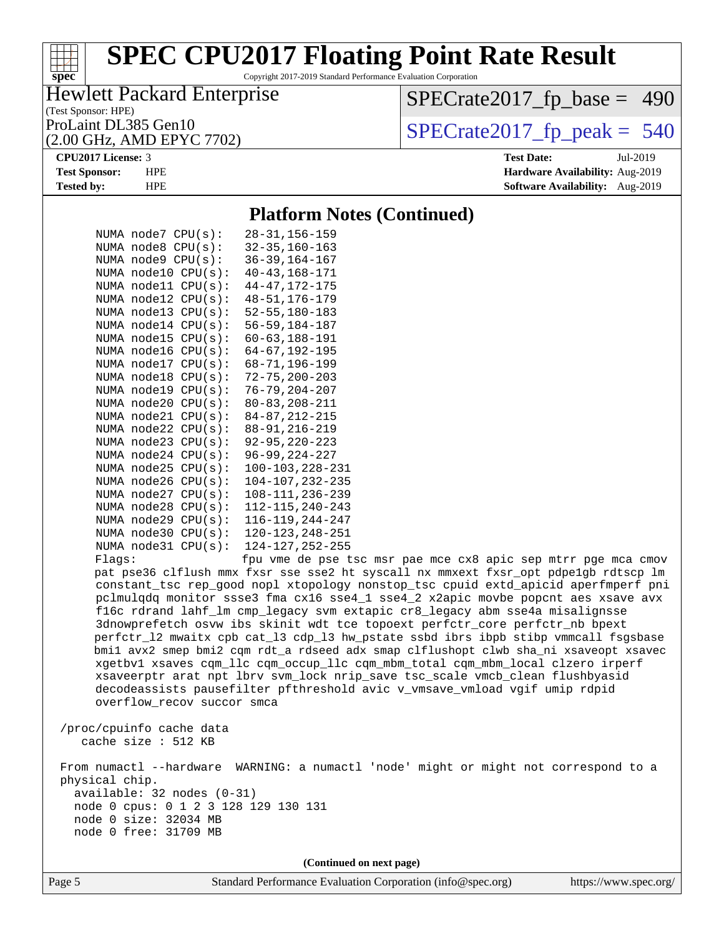Copyright 2017-2019 Standard Performance Evaluation Corporation

### Hewlett Packard Enterprise

(Test Sponsor: HPE)

(2.00 GHz, AMD EPYC 7702)

[SPECrate2017\\_fp\\_base =](http://www.spec.org/auto/cpu2017/Docs/result-fields.html#SPECrate2017fpbase) 490

ProLaint DL385 Gen10<br>(2.00 GHz, AMD EPYC 7702)  $\qquad$  [SPECrate2017\\_fp\\_peak =](http://www.spec.org/auto/cpu2017/Docs/result-fields.html#SPECrate2017fppeak) 540

pae mce cx8 apic sep mtrr pge mca cmov

#### **[CPU2017 License:](http://www.spec.org/auto/cpu2017/Docs/result-fields.html#CPU2017License)** 3 **[Test Date:](http://www.spec.org/auto/cpu2017/Docs/result-fields.html#TestDate)** Jul-2019

**[spec](http://www.spec.org/)**

 $\pm\pm\tau$ 

**[Test Sponsor:](http://www.spec.org/auto/cpu2017/Docs/result-fields.html#TestSponsor)** HPE **[Hardware Availability:](http://www.spec.org/auto/cpu2017/Docs/result-fields.html#HardwareAvailability)** Aug-2019 **[Tested by:](http://www.spec.org/auto/cpu2017/Docs/result-fields.html#Testedby)** HPE **[Software Availability:](http://www.spec.org/auto/cpu2017/Docs/result-fields.html#SoftwareAvailability)** Aug-2019

#### **[Platform Notes \(Continued\)](http://www.spec.org/auto/cpu2017/Docs/result-fields.html#PlatformNotes)**

|        |                           | NUMA node7 CPU(s): 28-31, 156-159            |
|--------|---------------------------|----------------------------------------------|
|        | NUMA node8 CPU(s):        | $32 - 35,160 - 163$                          |
|        | NUMA node9 CPU(s):        | $36 - 39, 164 - 167$                         |
|        |                           | NUMA node10 CPU(s): 40-43,168-171            |
|        |                           | NUMA node11 CPU(s): 44-47, 172-175           |
|        |                           | NUMA node12 CPU(s): 48-51,176-179            |
|        |                           | NUMA node13 CPU(s): 52-55,180-183            |
|        |                           | NUMA node14 CPU(s): 56-59,184-187            |
|        |                           | NUMA node15 CPU(s): 60-63,188-191            |
|        |                           | NUMA node16 CPU(s): 64-67,192-195            |
|        |                           | NUMA node17 CPU(s): 68-71,196-199            |
|        |                           | NUMA node18 CPU(s): 72-75,200-203            |
|        |                           | NUMA node19 CPU(s): 76-79, 204-207           |
|        |                           | NUMA node20 CPU(s): 80-83,208-211            |
|        |                           | NUMA node21 CPU(s): 84-87, 212-215           |
|        |                           | NUMA node22 CPU(s): 88-91, 216-219           |
|        | NUMA node23 CPU(s):       | $92 - 95, 220 - 223$                         |
|        |                           | NUMA node24 CPU(s): 96-99, 224-227           |
|        |                           | NUMA node25 CPU(s): 100-103,228-231          |
|        | NUMA $node26$ CPU( $s$ ): | $104 - 107, 232 - 235$                       |
|        | NUMA node27 CPU(s):       | 108-111, 236-239                             |
|        |                           | NUMA node28 CPU(s): 112-115, 240-243         |
|        |                           | NUMA $node29$ $CPU(s): 116-119,244-247$      |
|        |                           | NUMA node30 CPU(s): 120-123, 248-251         |
|        |                           | NUMA node31 CPU(s): 124-127,252-255          |
| Flags: |                           | fpu vme de pse tsc msr                       |
|        |                           | pat pse36 clflush mmx fxsr sse sse2 ht sysca |
|        |                           | constant_tsc rep_good nopl xtopology nonsto  |
|        |                           | pclmulqdq monitor ssse3 fma cx16 sse4_1 sse  |
|        |                           |                                              |

11 nx mmxext fxsr\_opt pdpe1gb rdtscp lm pp\_tsc cpuid extd\_apicid aperfmperf pni e4\_2 x2apic movbe popcnt aes xsave avx f16c rdrand lahf\_lm cmp\_legacy svm extapic cr8\_legacy abm sse4a misalignsse 3dnowprefetch osvw ibs skinit wdt tce topoext perfctr\_core perfctr\_nb bpext perfctr\_l2 mwaitx cpb cat\_l3 cdp\_l3 hw\_pstate ssbd ibrs ibpb stibp vmmcall fsgsbase bmi1 avx2 smep bmi2 cqm rdt\_a rdseed adx smap clflushopt clwb sha\_ni xsaveopt xsavec xgetbv1 xsaves cqm\_llc cqm\_occup\_llc cqm\_mbm\_total cqm\_mbm\_local clzero irperf xsaveerptr arat npt lbrv svm\_lock nrip\_save tsc\_scale vmcb\_clean flushbyasid decodeassists pausefilter pfthreshold avic v\_vmsave\_vmload vgif umip rdpid overflow\_recov succor smca

 /proc/cpuinfo cache data cache size : 512 KB

 From numactl --hardware WARNING: a numactl 'node' might or might not correspond to a physical chip. available: 32 nodes (0-31) node 0 cpus: 0 1 2 3 128 129 130 131 node 0 size: 32034 MB

node 0 free: 31709 MB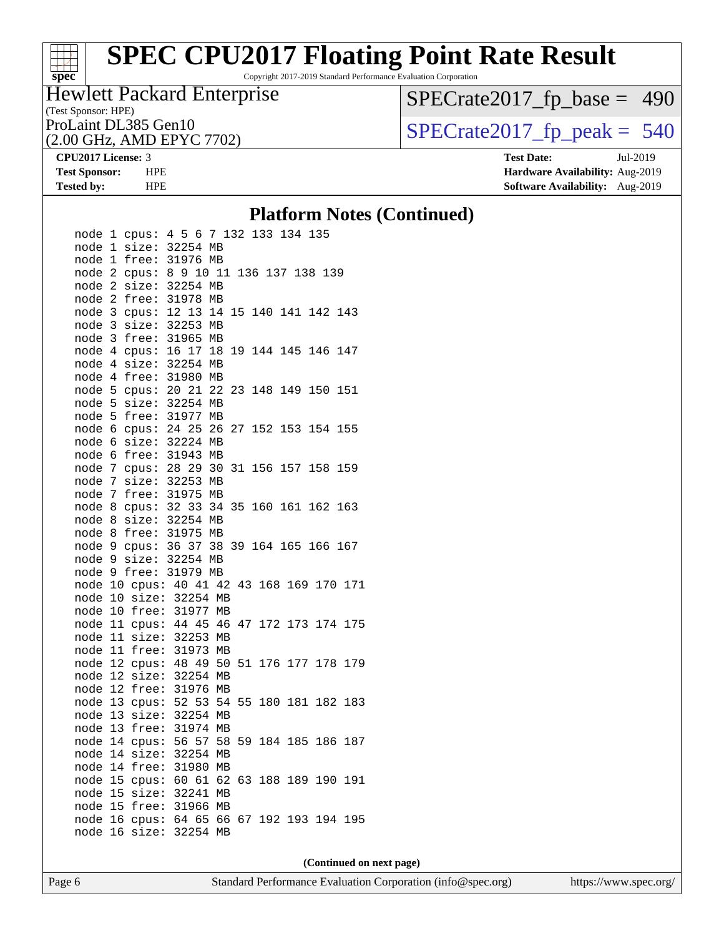# **[spec](http://www.spec.org/)**

# **[SPEC CPU2017 Floating Point Rate Result](http://www.spec.org/auto/cpu2017/Docs/result-fields.html#SPECCPU2017FloatingPointRateResult)**

Copyright 2017-2019 Standard Performance Evaluation Corporation

#### (Test Sponsor: HPE) Hewlett Packard Enterprise

[SPECrate2017\\_fp\\_base =](http://www.spec.org/auto/cpu2017/Docs/result-fields.html#SPECrate2017fpbase) 490

(2.00 GHz, AMD EPYC 7702)

ProLaint DL385 Gen10<br>  $(2.00 \text{ GHz} \cdot \text{AMD EPYC} \cdot 7702)$  SPECrate 2017\_fp\_peak = 540

**[CPU2017 License:](http://www.spec.org/auto/cpu2017/Docs/result-fields.html#CPU2017License)** 3 **[Test Date:](http://www.spec.org/auto/cpu2017/Docs/result-fields.html#TestDate)** Jul-2019 **[Test Sponsor:](http://www.spec.org/auto/cpu2017/Docs/result-fields.html#TestSponsor)** HPE **[Hardware Availability:](http://www.spec.org/auto/cpu2017/Docs/result-fields.html#HardwareAvailability)** Aug-2019 **[Tested by:](http://www.spec.org/auto/cpu2017/Docs/result-fields.html#Testedby)** HPE **[Software Availability:](http://www.spec.org/auto/cpu2017/Docs/result-fields.html#SoftwareAvailability)** Aug-2019

#### **[Platform Notes \(Continued\)](http://www.spec.org/auto/cpu2017/Docs/result-fields.html#PlatformNotes)**

| node<br>node         | 1<br>1         | cpus:<br>size:          | 4 5 6<br>32254          |    |                         |    | 7 132 133<br>MВ |    |     |             | 134 |     | 135 |     |     |
|----------------------|----------------|-------------------------|-------------------------|----|-------------------------|----|-----------------|----|-----|-------------|-----|-----|-----|-----|-----|
| node<br>node<br>node | 1<br>2<br>2    | free:<br>cpus:          | 31976<br>89             |    |                         | 10 | MB<br>11<br>MВ  |    |     | 136 137 138 |     |     |     | 139 |     |
| node                 | 2<br>3         | size:<br>free:          | 32254<br>31978          |    |                         |    | MВ              | 15 | 140 |             | 141 |     | 142 |     | 143 |
| node<br>node         | 3<br>3         | cpus:<br>size:          | 12<br>32253             |    | 13                      |    | 14<br>МB        |    |     |             |     |     |     |     |     |
| node<br>node<br>node | 4<br>4         | free:<br>cpus:<br>size: | 31965<br>16 17<br>32254 |    |                         |    | МB<br>18<br>MB  | 19 | 144 |             | 145 |     | 146 |     | 147 |
| node<br>node         | 4<br>5         | free:<br>cpus:          | 31980<br>20 21          |    |                         |    | МB<br>22        | 23 | 148 |             | 149 |     | 150 |     | 151 |
| node<br>node         | 5<br>5         | size:<br>free:          | 32254<br>31977          |    |                         |    | МB<br>MB        |    |     |             |     |     |     |     |     |
| node<br>node         | 6<br>6         | cpus:<br>size:          | 24<br>32224             |    | 25                      |    | 26<br>МB        | 27 | 152 |             | 153 |     | 154 |     | 155 |
| node<br>node         | 6<br>7         | free:<br>cpus:          | 31943<br>28 29          |    |                         |    | МB<br>30        | 31 | 156 |             | 157 |     | 158 |     | 159 |
| node<br>node         | 7<br>7         | size:<br>free:          | 32253<br>31975          |    |                         |    | МB<br>МB        |    |     |             |     |     |     |     |     |
| node<br>node         | 8<br>8         | cpus:<br>size:          | 32 33                   |    |                         |    | 34<br>32254 MB  | 35 | 160 |             | 161 |     | 162 |     | 163 |
| node<br>node         | 8<br>9         | free:<br>cpus:          | 31975<br>36             |    | 37                      |    | MB<br>38        | 39 | 164 |             | 165 |     | 166 |     | 167 |
| node<br>node<br>node | 9<br>9<br>10   | size:<br>free:          | 32254<br>31979          |    | 40 41                   |    | MB<br>МB<br>42  | 43 | 168 |             |     | 169 | 170 |     | 171 |
| node<br>node         | 10<br>10       | cpus:<br>size:<br>free: |                         |    | 32254<br>31977          |    | MB<br>MB        |    |     |             |     |     |     |     |     |
| node<br>node         | 11<br>11       | cpus:<br>size:          |                         |    | 44 45<br>32253          |    | 46<br>МB        | 47 | 172 |             |     | 173 | 174 |     | 175 |
| node<br>node         | 11<br>12       | free:<br>cpus:          |                         | 48 | 31973                   | 49 | МB<br>50        | 51 |     | 176 177     |     |     | 178 |     | 179 |
| node<br>node         | 12<br>12       | size:<br>free:          |                         |    | 32254<br>31976          |    | MB<br>МB        |    |     |             |     |     |     |     |     |
| node<br>node         | 13<br>13       | cpus:<br>size:          |                         | 52 | 32254                   | 53 | 54<br>МB        | 55 |     | 180 181     |     |     | 182 |     | 183 |
| node<br>node         | 13<br>14       | free:<br>cpus:          |                         |    | 31974<br>56 57          |    | MB<br>58        | 59 | 184 |             |     | 185 | 186 |     | 187 |
| node<br>node         | 14<br>14       | size:<br>free:          |                         |    | 32254<br>31980          |    | MB<br>MB        |    |     |             |     |     |     |     |     |
| node<br>node<br>node | 15<br>15<br>15 | cpus:<br>size:<br>free: |                         |    | 60 61<br>32241<br>31966 |    | 62<br>MB<br>МB  | 63 | 188 |             |     | 189 | 190 |     | 191 |
| node<br>node         | 16<br>16       | cpus:<br>size:          |                         |    | 64 65<br>32254          |    | 66<br>MB        | 67 |     | 192 193     |     |     | 194 |     | 195 |
|                      |                |                         |                         |    |                         |    |                 |    |     |             |     |     |     |     |     |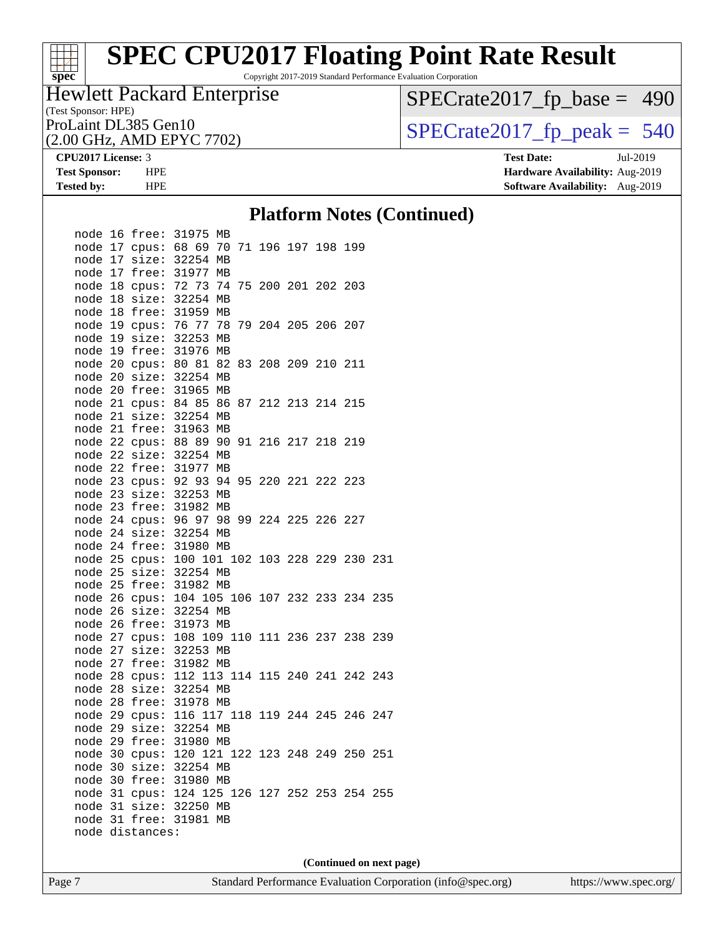Copyright 2017-2019 Standard Performance Evaluation Corporation

#### (Test Sponsor: HPE) Hewlett Packard Enterprise

(2.00 GHz, AMD EPYC 7702)

[SPECrate2017\\_fp\\_base =](http://www.spec.org/auto/cpu2017/Docs/result-fields.html#SPECrate2017fpbase) 490

ProLaint DL385 Gen10<br>  $(2.00 \text{ GHz} \cdot \text{AMD EPYC} \cdot 7702)$  SPECrate 2017\_fp\_peak = 540

**[spec](http://www.spec.org/)**

**[CPU2017 License:](http://www.spec.org/auto/cpu2017/Docs/result-fields.html#CPU2017License)** 3 **[Test Date:](http://www.spec.org/auto/cpu2017/Docs/result-fields.html#TestDate)** Jul-2019 **[Test Sponsor:](http://www.spec.org/auto/cpu2017/Docs/result-fields.html#TestSponsor)** HPE **[Hardware Availability:](http://www.spec.org/auto/cpu2017/Docs/result-fields.html#HardwareAvailability)** Aug-2019 **[Tested by:](http://www.spec.org/auto/cpu2017/Docs/result-fields.html#Testedby)** HPE **[Software Availability:](http://www.spec.org/auto/cpu2017/Docs/result-fields.html#SoftwareAvailability)** Aug-2019

#### **[Platform Notes \(Continued\)](http://www.spec.org/auto/cpu2017/Docs/result-fields.html#PlatformNotes)**

|         |    | node 16 free:          | 31975 MB                        |    |                    |  |      |     |
|---------|----|------------------------|---------------------------------|----|--------------------|--|------|-----|
|         |    | node 17 cpus:          | 68 69 70                        |    | 71 196 197 198 199 |  |      |     |
|         |    | node 17 size:          | 32254 MB                        |    |                    |  |      |     |
|         |    | node 17 free:          | 31977                           | MB |                    |  |      |     |
|         |    | node 18 cpus: 72 73 74 |                                 |    | 75 200 201 202 203 |  |      |     |
|         |    | node 18 size:          | 32254 MB                        |    |                    |  |      |     |
|         |    | node 18 free:          | 31959                           | MB |                    |  |      |     |
|         |    | node 19 cpus:          | 76 77 78                        |    | 79 204 205 206 207 |  |      |     |
|         |    | node 19 size:          | 32253 MB                        |    |                    |  |      |     |
|         |    | node 19 free:          | 31976 MB                        |    |                    |  |      |     |
|         |    | node 20 cpus:          | 80 81                           | 82 | 83 208 209 210     |  | -211 |     |
|         |    | node 20 size:          | 32254 MB                        |    |                    |  |      |     |
|         |    | node 20 free:          | 31965 MB                        |    |                    |  |      |     |
|         |    | node 21 cpus:          | 8485                            | 86 | 87 212 213 214 215 |  |      |     |
|         |    | node 21 size:          | 32254 MB                        |    |                    |  |      |     |
|         |    | node 21 free:          | 31963 MB                        |    |                    |  |      |     |
|         |    | node 22 cpus:          | 88 89 90                        |    | 91 216 217 218 219 |  |      |     |
|         |    | node 22 size:          | 32254 MB                        |    |                    |  |      |     |
|         |    | node 22 free:          | 31977                           | MB |                    |  |      |     |
|         |    | node 23 cpus:          | 92 93                           | 94 | 95 220 221 222 223 |  |      |     |
|         |    | node 23 size:          | 32253 MB                        |    |                    |  |      |     |
|         |    | node 23 free:          | 31982 MB                        |    |                    |  |      |     |
|         |    | node 24 cpus:          | 9697                            | 98 | 99 224 225 226 227 |  |      |     |
|         |    | node 24 size:          | 32254 MB                        |    |                    |  |      |     |
|         |    | node 24 free:          | 31980 MB                        |    |                    |  |      |     |
|         |    | node 25 cpus:          | 100 101 102 103 228 229 230     |    |                    |  |      | 231 |
|         |    | node 25 size:          | 32254 MB                        |    |                    |  |      |     |
|         |    | node 25 free:          | 31982 MB                        |    |                    |  |      |     |
|         |    | node 26 cpus:          | 104 105 106 107 232 233 234 235 |    |                    |  |      |     |
|         |    | node 26 size:          | 32254 MB                        |    |                    |  |      |     |
|         |    | node 26 free:          | 31973 MB                        |    |                    |  |      |     |
|         |    | node 27 cpus:          | 108 109 110 111 236 237 238 239 |    |                    |  |      |     |
|         |    | node 27 size:          | 32253 MB                        |    |                    |  |      |     |
|         |    | node 27 free:          | 31982 MB                        |    |                    |  |      |     |
|         |    | node 28 cpus:          | 112 113 114 115 240 241 242 243 |    |                    |  |      |     |
|         |    | node 28 size:          | 32254 MB                        |    |                    |  |      |     |
|         |    | node 28 free:          | 31978 MB                        |    |                    |  |      |     |
|         |    | node 29 cpus:          | 116 117 118 119 244 245 246     |    |                    |  |      | 247 |
|         |    | node 29 size:          | 32254 MB                        |    |                    |  |      |     |
|         |    | node 29 free:          | 31980 MB                        |    |                    |  |      |     |
|         |    | node 30 cpus:          | 120 121 122 123 248 249 250 251 |    |                    |  |      |     |
|         |    | node 30 size:          | 32254 MB                        |    |                    |  |      |     |
|         |    | node 30 free:          | 31980 MB                        |    |                    |  |      |     |
|         |    | node 31 cpus:          | 124 125 126 127 252 253 254 255 |    |                    |  |      |     |
| node 31 |    | size:                  | 32250 MB                        |    |                    |  |      |     |
| node    | 31 | free:                  | 31981                           | MB |                    |  |      |     |
|         |    | node distances:        |                                 |    |                    |  |      |     |
|         |    |                        |                                 |    |                    |  |      |     |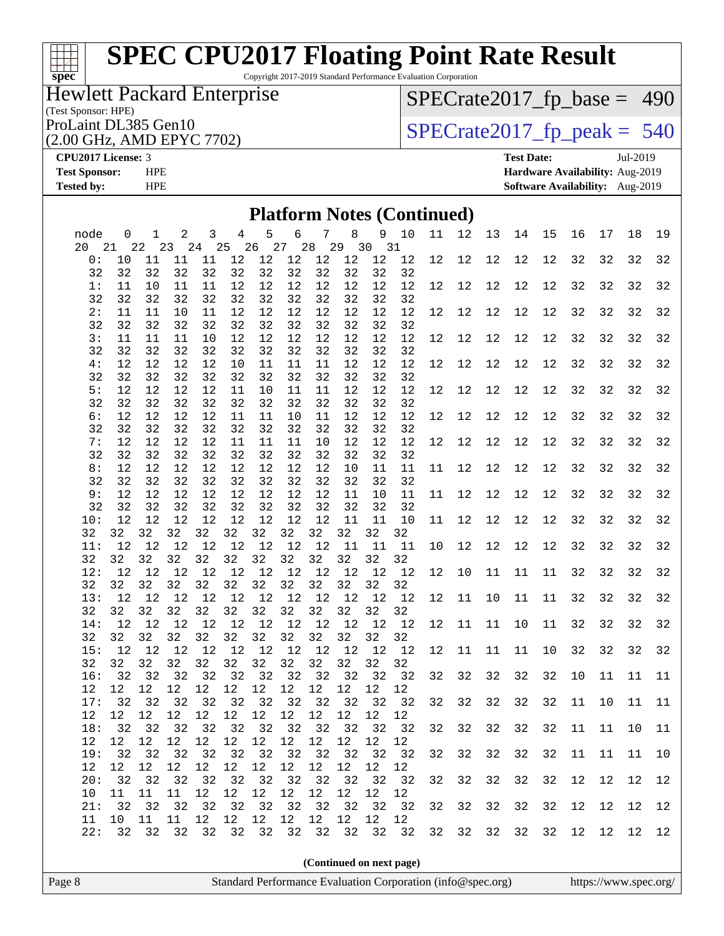Copyright 2017-2019 Standard Performance Evaluation Corporation

## Hewlett Packard Enterprise

(Test Sponsor: HPE)<br>ProLaint DL385 Gen10

(2.00 GHz, AMD EPYC 7702)

[SPECrate2017\\_fp\\_base =](http://www.spec.org/auto/cpu2017/Docs/result-fields.html#SPECrate2017fpbase) 490

 $SPECTate 2017_fp\_peak = 540$ 

#### **[CPU2017 License:](http://www.spec.org/auto/cpu2017/Docs/result-fields.html#CPU2017License)** 3 **[Test Date:](http://www.spec.org/auto/cpu2017/Docs/result-fields.html#TestDate)** Jul-2019

**[spec](http://www.spec.org/)**

**[Test Sponsor:](http://www.spec.org/auto/cpu2017/Docs/result-fields.html#TestSponsor)** HPE **[Hardware Availability:](http://www.spec.org/auto/cpu2017/Docs/result-fields.html#HardwareAvailability)** Aug-2019 **[Tested by:](http://www.spec.org/auto/cpu2017/Docs/result-fields.html#Testedby)** HPE **[Software Availability:](http://www.spec.org/auto/cpu2017/Docs/result-fields.html#SoftwareAvailability)** Aug-2019

| 5<br>6<br>$7\phantom{.}$<br>9 10<br>11<br>12<br>13<br>2<br>3<br>4<br>8<br>14<br>15<br>16<br>17<br>18<br>0<br>1<br>26 27 28 29 30 31<br>21 22<br>23<br>24 25<br>12<br>12<br>12<br>12<br>12<br>12<br>32<br>32<br>0:<br>10<br>11<br>11<br>11<br>12<br>12<br>12<br>12<br>12<br>12<br>32<br>32<br>32<br>32<br>32<br>32<br>32<br>32<br>32<br>32<br>32<br>32<br>32<br>11<br>11<br>12<br>12<br>12<br>12<br>12<br>12<br>12<br>12<br>12<br>12<br>12<br>12<br>32<br>32<br>1:<br>10<br>11<br>32<br>32<br>32<br>32<br>32<br>32<br>32<br>32<br>32<br>32<br>32<br>32<br>32<br>$12$<br>12<br>12<br>2:<br>11<br>11<br>10<br>$11\,$<br>12<br>12<br>12<br>12<br>12<br>12<br>12<br>12<br>32<br>32<br>32<br>12<br>32<br>32<br>32<br>32<br>32<br>32<br>32<br>32<br>32<br>32<br>32<br>32<br>3:<br>11<br>12<br>12<br>12<br>12<br>12<br>12<br>12<br>12<br>12<br>32<br>32<br>11<br>11<br>10<br>12<br>12<br>12<br>32<br>32<br>32<br>32<br>32<br>32<br>32<br>32<br>32<br>32<br>32<br>32<br>32<br>12<br>4:<br>12<br>12<br>12<br>10<br>11<br>11<br>11<br>12<br>12<br>12<br>12<br>12<br>12<br>12<br>12<br>32<br>32<br>32<br>32<br>32<br>32<br>32<br>32<br>32<br>32<br>32<br>32<br>32<br>32<br>32<br>12<br>12<br>12<br>$12\,$<br>5:<br>12<br>12<br>$11\,$<br>10<br>11<br>11<br>12<br>12<br>12<br>12<br>12<br>32<br>32<br>32<br>12<br>32<br>32<br>32<br>32<br>32<br>32<br>32<br>32<br>32<br>32<br>32<br>32<br>$6:$<br>12<br>12<br>12<br>12<br>12<br>12<br>12<br>12<br>12<br>32<br>32<br>12<br>12<br>11<br>11<br>10<br>11<br>12<br>32<br>32<br>32<br>32<br>32<br>32<br>32<br>32<br>32<br>32<br>32<br>32<br>32<br>12<br>7:<br>12<br>12<br>12<br>$11\,$<br>11<br>11<br>10<br>12<br>12<br>12<br>12<br>12<br>12<br>12<br>$12$<br>32<br>32<br>32<br>32<br>32<br>32<br>32<br>32<br>32<br>32<br>32<br>32<br>32<br>32<br>32<br>12<br>$12$<br>$12$<br>$12$<br>8:<br>12<br>12<br>12<br>12<br>10<br>11<br>12<br>12<br>12<br>12<br>32<br>32<br>32<br>11<br>11<br>32<br>32<br>32<br>32<br>32<br>32<br>32<br>32<br>32<br>32<br>32<br>32<br>9:<br>12<br>12<br>12<br>12<br>12<br>12<br>12<br>12<br>12<br>32<br>32<br>32<br>12<br>12<br>12<br>11<br>10<br>11<br>11<br>32<br>32<br>32<br>32<br>32<br>32<br>32<br>32<br>32<br>32<br>32<br>32<br>$12$<br>12<br>12<br>12<br>12<br>12<br>12<br>12<br>11<br>11<br>10<br>11<br>12<br>12<br>12<br>$12$<br>32<br>32<br>32<br>10:<br>32<br>32<br>32<br>32<br>32<br>32<br>32<br>32<br>32<br>32<br>32<br>32<br>12<br>12<br>$12$<br>$11\,$<br>12<br>12<br>12<br>12<br>12<br>11<br>11<br>12<br>12<br>12<br>12<br>32<br>32<br>11:<br>10<br>32<br>32<br>32<br>32<br>32<br>32<br>32<br>32<br>32<br>32<br>32<br>32<br>32<br>12<br>12<br>12<br>11<br>32<br>32<br>12:<br>12<br>12<br>12<br>12<br>12<br>12<br>12<br>12<br>12<br>10<br>11<br>11<br>32<br>32<br>32<br>32<br>32<br>32<br>32<br>32<br>32<br>32<br>32<br>32<br>32<br>12<br>12<br>12<br>12<br>12<br>12<br>12<br>12<br>12<br>12<br>12<br>12<br>$11\,$<br>$10$<br>11<br>32<br>13:<br>11<br>32<br>32<br>32<br>32<br>32<br>32<br>32<br>32<br>32<br>32<br>32<br>32<br>32<br>32<br>12<br>12<br>12<br>12<br>12<br>12<br>12<br>12<br>12<br>12<br>12<br>11<br>11<br>11<br>32<br>32<br>14:<br>12<br>10<br>32<br>32<br>32<br>32<br>32<br>32<br>32<br>32<br>32<br>32<br>32<br>32<br>32<br>$12$<br>$11\,$<br>32<br>32<br>12<br>12<br>12<br>12<br>12<br>12<br>12<br>12<br>12<br>12<br>12<br>11<br>11<br>10<br>32<br>15:<br>32<br>32<br>32<br>32<br>32<br>32<br>32<br>32<br>32<br>32<br>32<br>32<br>32<br>32<br>32<br>32<br>32<br>32<br>32<br>32<br>32<br>32<br>32<br>32<br>32<br>32<br>32<br>32<br>10<br>16:<br>11<br>11<br>$12$<br>12<br>$12$<br>$12$<br>$12\,$<br>$12$<br>$12\,$<br>$12$<br>$12$<br>12<br>12<br>12<br>32<br>32<br>32<br>32<br>32<br>32<br>32<br>32<br>32<br>32<br>32<br>32<br>32<br>32<br>17:<br>32<br>32<br>11<br>10<br>11<br>12<br>12<br>12<br>12<br>12<br>12<br>12<br>12<br>12<br>12<br>12<br>12<br>32<br>32<br>32 32<br>32 32 32 32 32<br>18:<br>32<br>32<br>32<br>32 32<br>32<br>32<br>11<br>11<br>10<br>12<br>$12$<br>$1\,2$<br>$12$<br>12<br>12<br>12<br>12<br>12<br>12<br>12<br>12<br>32<br>32<br>32<br>32<br>32<br>32<br>32<br>32<br>32<br>32<br>32<br>19:<br>32<br>32<br>32<br>32<br>32<br>11<br>11<br>11<br>$12$<br>$1\,2$<br>12<br>$12\,$<br>$12\,$<br>$12$<br>$12\,$<br>$12$<br>$12$<br>12<br>12<br>12<br>32<br>32<br>32<br>32<br>32<br>32<br>32<br>32<br>32<br>32<br>32<br>32<br>32<br>32<br>32<br>32<br>12<br>12<br>12<br>20:<br>11<br>12<br>12<br>12<br>12<br>12<br>12<br>12<br>12<br>10<br>11<br>11<br>32<br>32<br>32<br>32<br>32<br>32<br>32<br>32<br>32<br>32<br>12<br>12<br>12<br>21:<br>32<br>32<br>32<br>32<br>32<br>32<br>$12$<br>$12$<br>$12$<br>12<br>$12$<br>$12$<br>12<br>11<br>10<br>11<br>11<br>12<br>32<br>22:<br>32<br>32<br>32<br>32<br>32<br>32<br>32<br>32<br>32<br>32<br>32<br>32<br>32<br>32<br>32<br>12<br>12<br>12<br>(Continued on next page)<br>Standard Performance Evaluation Corporation (info@spec.org)<br>https://www.spec.org/ |        |  |  |  |  |  | <b>Platform Notes (Continued)</b> |  |  |  |  |    |
|--------------------------------------------------------------------------------------------------------------------------------------------------------------------------------------------------------------------------------------------------------------------------------------------------------------------------------------------------------------------------------------------------------------------------------------------------------------------------------------------------------------------------------------------------------------------------------------------------------------------------------------------------------------------------------------------------------------------------------------------------------------------------------------------------------------------------------------------------------------------------------------------------------------------------------------------------------------------------------------------------------------------------------------------------------------------------------------------------------------------------------------------------------------------------------------------------------------------------------------------------------------------------------------------------------------------------------------------------------------------------------------------------------------------------------------------------------------------------------------------------------------------------------------------------------------------------------------------------------------------------------------------------------------------------------------------------------------------------------------------------------------------------------------------------------------------------------------------------------------------------------------------------------------------------------------------------------------------------------------------------------------------------------------------------------------------------------------------------------------------------------------------------------------------------------------------------------------------------------------------------------------------------------------------------------------------------------------------------------------------------------------------------------------------------------------------------------------------------------------------------------------------------------------------------------------------------------------------------------------------------------------------------------------------------------------------------------------------------------------------------------------------------------------------------------------------------------------------------------------------------------------------------------------------------------------------------------------------------------------------------------------------------------------------------------------------------------------------------------------------------------------------------------------------------------------------------------------------------------------------------------------------------------------------------------------------------------------------------------------------------------------------------------------------------------------------------------------------------------------------------------------------------------------------------------------------------------------------------------------------------------------------------------------------------------------------------------------------------------------------------------------------------------------------------------------------------------------------------------------------------------------------------------------------------------------------------------------------------------------------------------------------------------------------------------------------------------------------------------------------------------------------------------------------------------------------------------------------------------------------------------------------------------------------------------------------------------------------------------------------------------------------------------------------------------------------------------------------------------------------------------------------------------------------------------------------------------------------------------------------------------------------------------------------------------------------------------------------------------------------------------------------------------------------------------------------------------------------------------------------------------------------------------------------|--------|--|--|--|--|--|-----------------------------------|--|--|--|--|----|
|                                                                                                                                                                                                                                                                                                                                                                                                                                                                                                                                                                                                                                                                                                                                                                                                                                                                                                                                                                                                                                                                                                                                                                                                                                                                                                                                                                                                                                                                                                                                                                                                                                                                                                                                                                                                                                                                                                                                                                                                                                                                                                                                                                                                                                                                                                                                                                                                                                                                                                                                                                                                                                                                                                                                                                                                                                                                                                                                                                                                                                                                                                                                                                                                                                                                                                                                                                                                                                                                                                                                                                                                                                                                                                                                                                                                                                                                                                                                                                                                                                                                                                                                                                                                                                                                                                                                                                                                                                                                                                                                                                                                                                                                                                                                                                                                                                                                                                                    | node   |  |  |  |  |  |                                   |  |  |  |  | 19 |
|                                                                                                                                                                                                                                                                                                                                                                                                                                                                                                                                                                                                                                                                                                                                                                                                                                                                                                                                                                                                                                                                                                                                                                                                                                                                                                                                                                                                                                                                                                                                                                                                                                                                                                                                                                                                                                                                                                                                                                                                                                                                                                                                                                                                                                                                                                                                                                                                                                                                                                                                                                                                                                                                                                                                                                                                                                                                                                                                                                                                                                                                                                                                                                                                                                                                                                                                                                                                                                                                                                                                                                                                                                                                                                                                                                                                                                                                                                                                                                                                                                                                                                                                                                                                                                                                                                                                                                                                                                                                                                                                                                                                                                                                                                                                                                                                                                                                                                                    | 20     |  |  |  |  |  |                                   |  |  |  |  |    |
|                                                                                                                                                                                                                                                                                                                                                                                                                                                                                                                                                                                                                                                                                                                                                                                                                                                                                                                                                                                                                                                                                                                                                                                                                                                                                                                                                                                                                                                                                                                                                                                                                                                                                                                                                                                                                                                                                                                                                                                                                                                                                                                                                                                                                                                                                                                                                                                                                                                                                                                                                                                                                                                                                                                                                                                                                                                                                                                                                                                                                                                                                                                                                                                                                                                                                                                                                                                                                                                                                                                                                                                                                                                                                                                                                                                                                                                                                                                                                                                                                                                                                                                                                                                                                                                                                                                                                                                                                                                                                                                                                                                                                                                                                                                                                                                                                                                                                                                    |        |  |  |  |  |  |                                   |  |  |  |  | 32 |
|                                                                                                                                                                                                                                                                                                                                                                                                                                                                                                                                                                                                                                                                                                                                                                                                                                                                                                                                                                                                                                                                                                                                                                                                                                                                                                                                                                                                                                                                                                                                                                                                                                                                                                                                                                                                                                                                                                                                                                                                                                                                                                                                                                                                                                                                                                                                                                                                                                                                                                                                                                                                                                                                                                                                                                                                                                                                                                                                                                                                                                                                                                                                                                                                                                                                                                                                                                                                                                                                                                                                                                                                                                                                                                                                                                                                                                                                                                                                                                                                                                                                                                                                                                                                                                                                                                                                                                                                                                                                                                                                                                                                                                                                                                                                                                                                                                                                                                                    |        |  |  |  |  |  |                                   |  |  |  |  |    |
|                                                                                                                                                                                                                                                                                                                                                                                                                                                                                                                                                                                                                                                                                                                                                                                                                                                                                                                                                                                                                                                                                                                                                                                                                                                                                                                                                                                                                                                                                                                                                                                                                                                                                                                                                                                                                                                                                                                                                                                                                                                                                                                                                                                                                                                                                                                                                                                                                                                                                                                                                                                                                                                                                                                                                                                                                                                                                                                                                                                                                                                                                                                                                                                                                                                                                                                                                                                                                                                                                                                                                                                                                                                                                                                                                                                                                                                                                                                                                                                                                                                                                                                                                                                                                                                                                                                                                                                                                                                                                                                                                                                                                                                                                                                                                                                                                                                                                                                    |        |  |  |  |  |  |                                   |  |  |  |  |    |
|                                                                                                                                                                                                                                                                                                                                                                                                                                                                                                                                                                                                                                                                                                                                                                                                                                                                                                                                                                                                                                                                                                                                                                                                                                                                                                                                                                                                                                                                                                                                                                                                                                                                                                                                                                                                                                                                                                                                                                                                                                                                                                                                                                                                                                                                                                                                                                                                                                                                                                                                                                                                                                                                                                                                                                                                                                                                                                                                                                                                                                                                                                                                                                                                                                                                                                                                                                                                                                                                                                                                                                                                                                                                                                                                                                                                                                                                                                                                                                                                                                                                                                                                                                                                                                                                                                                                                                                                                                                                                                                                                                                                                                                                                                                                                                                                                                                                                                                    |        |  |  |  |  |  |                                   |  |  |  |  |    |
|                                                                                                                                                                                                                                                                                                                                                                                                                                                                                                                                                                                                                                                                                                                                                                                                                                                                                                                                                                                                                                                                                                                                                                                                                                                                                                                                                                                                                                                                                                                                                                                                                                                                                                                                                                                                                                                                                                                                                                                                                                                                                                                                                                                                                                                                                                                                                                                                                                                                                                                                                                                                                                                                                                                                                                                                                                                                                                                                                                                                                                                                                                                                                                                                                                                                                                                                                                                                                                                                                                                                                                                                                                                                                                                                                                                                                                                                                                                                                                                                                                                                                                                                                                                                                                                                                                                                                                                                                                                                                                                                                                                                                                                                                                                                                                                                                                                                                                                    |        |  |  |  |  |  |                                   |  |  |  |  |    |
|                                                                                                                                                                                                                                                                                                                                                                                                                                                                                                                                                                                                                                                                                                                                                                                                                                                                                                                                                                                                                                                                                                                                                                                                                                                                                                                                                                                                                                                                                                                                                                                                                                                                                                                                                                                                                                                                                                                                                                                                                                                                                                                                                                                                                                                                                                                                                                                                                                                                                                                                                                                                                                                                                                                                                                                                                                                                                                                                                                                                                                                                                                                                                                                                                                                                                                                                                                                                                                                                                                                                                                                                                                                                                                                                                                                                                                                                                                                                                                                                                                                                                                                                                                                                                                                                                                                                                                                                                                                                                                                                                                                                                                                                                                                                                                                                                                                                                                                    |        |  |  |  |  |  |                                   |  |  |  |  |    |
|                                                                                                                                                                                                                                                                                                                                                                                                                                                                                                                                                                                                                                                                                                                                                                                                                                                                                                                                                                                                                                                                                                                                                                                                                                                                                                                                                                                                                                                                                                                                                                                                                                                                                                                                                                                                                                                                                                                                                                                                                                                                                                                                                                                                                                                                                                                                                                                                                                                                                                                                                                                                                                                                                                                                                                                                                                                                                                                                                                                                                                                                                                                                                                                                                                                                                                                                                                                                                                                                                                                                                                                                                                                                                                                                                                                                                                                                                                                                                                                                                                                                                                                                                                                                                                                                                                                                                                                                                                                                                                                                                                                                                                                                                                                                                                                                                                                                                                                    |        |  |  |  |  |  |                                   |  |  |  |  |    |
|                                                                                                                                                                                                                                                                                                                                                                                                                                                                                                                                                                                                                                                                                                                                                                                                                                                                                                                                                                                                                                                                                                                                                                                                                                                                                                                                                                                                                                                                                                                                                                                                                                                                                                                                                                                                                                                                                                                                                                                                                                                                                                                                                                                                                                                                                                                                                                                                                                                                                                                                                                                                                                                                                                                                                                                                                                                                                                                                                                                                                                                                                                                                                                                                                                                                                                                                                                                                                                                                                                                                                                                                                                                                                                                                                                                                                                                                                                                                                                                                                                                                                                                                                                                                                                                                                                                                                                                                                                                                                                                                                                                                                                                                                                                                                                                                                                                                                                                    |        |  |  |  |  |  |                                   |  |  |  |  |    |
|                                                                                                                                                                                                                                                                                                                                                                                                                                                                                                                                                                                                                                                                                                                                                                                                                                                                                                                                                                                                                                                                                                                                                                                                                                                                                                                                                                                                                                                                                                                                                                                                                                                                                                                                                                                                                                                                                                                                                                                                                                                                                                                                                                                                                                                                                                                                                                                                                                                                                                                                                                                                                                                                                                                                                                                                                                                                                                                                                                                                                                                                                                                                                                                                                                                                                                                                                                                                                                                                                                                                                                                                                                                                                                                                                                                                                                                                                                                                                                                                                                                                                                                                                                                                                                                                                                                                                                                                                                                                                                                                                                                                                                                                                                                                                                                                                                                                                                                    |        |  |  |  |  |  |                                   |  |  |  |  |    |
|                                                                                                                                                                                                                                                                                                                                                                                                                                                                                                                                                                                                                                                                                                                                                                                                                                                                                                                                                                                                                                                                                                                                                                                                                                                                                                                                                                                                                                                                                                                                                                                                                                                                                                                                                                                                                                                                                                                                                                                                                                                                                                                                                                                                                                                                                                                                                                                                                                                                                                                                                                                                                                                                                                                                                                                                                                                                                                                                                                                                                                                                                                                                                                                                                                                                                                                                                                                                                                                                                                                                                                                                                                                                                                                                                                                                                                                                                                                                                                                                                                                                                                                                                                                                                                                                                                                                                                                                                                                                                                                                                                                                                                                                                                                                                                                                                                                                                                                    |        |  |  |  |  |  |                                   |  |  |  |  |    |
|                                                                                                                                                                                                                                                                                                                                                                                                                                                                                                                                                                                                                                                                                                                                                                                                                                                                                                                                                                                                                                                                                                                                                                                                                                                                                                                                                                                                                                                                                                                                                                                                                                                                                                                                                                                                                                                                                                                                                                                                                                                                                                                                                                                                                                                                                                                                                                                                                                                                                                                                                                                                                                                                                                                                                                                                                                                                                                                                                                                                                                                                                                                                                                                                                                                                                                                                                                                                                                                                                                                                                                                                                                                                                                                                                                                                                                                                                                                                                                                                                                                                                                                                                                                                                                                                                                                                                                                                                                                                                                                                                                                                                                                                                                                                                                                                                                                                                                                    |        |  |  |  |  |  |                                   |  |  |  |  |    |
|                                                                                                                                                                                                                                                                                                                                                                                                                                                                                                                                                                                                                                                                                                                                                                                                                                                                                                                                                                                                                                                                                                                                                                                                                                                                                                                                                                                                                                                                                                                                                                                                                                                                                                                                                                                                                                                                                                                                                                                                                                                                                                                                                                                                                                                                                                                                                                                                                                                                                                                                                                                                                                                                                                                                                                                                                                                                                                                                                                                                                                                                                                                                                                                                                                                                                                                                                                                                                                                                                                                                                                                                                                                                                                                                                                                                                                                                                                                                                                                                                                                                                                                                                                                                                                                                                                                                                                                                                                                                                                                                                                                                                                                                                                                                                                                                                                                                                                                    |        |  |  |  |  |  |                                   |  |  |  |  |    |
|                                                                                                                                                                                                                                                                                                                                                                                                                                                                                                                                                                                                                                                                                                                                                                                                                                                                                                                                                                                                                                                                                                                                                                                                                                                                                                                                                                                                                                                                                                                                                                                                                                                                                                                                                                                                                                                                                                                                                                                                                                                                                                                                                                                                                                                                                                                                                                                                                                                                                                                                                                                                                                                                                                                                                                                                                                                                                                                                                                                                                                                                                                                                                                                                                                                                                                                                                                                                                                                                                                                                                                                                                                                                                                                                                                                                                                                                                                                                                                                                                                                                                                                                                                                                                                                                                                                                                                                                                                                                                                                                                                                                                                                                                                                                                                                                                                                                                                                    |        |  |  |  |  |  |                                   |  |  |  |  |    |
|                                                                                                                                                                                                                                                                                                                                                                                                                                                                                                                                                                                                                                                                                                                                                                                                                                                                                                                                                                                                                                                                                                                                                                                                                                                                                                                                                                                                                                                                                                                                                                                                                                                                                                                                                                                                                                                                                                                                                                                                                                                                                                                                                                                                                                                                                                                                                                                                                                                                                                                                                                                                                                                                                                                                                                                                                                                                                                                                                                                                                                                                                                                                                                                                                                                                                                                                                                                                                                                                                                                                                                                                                                                                                                                                                                                                                                                                                                                                                                                                                                                                                                                                                                                                                                                                                                                                                                                                                                                                                                                                                                                                                                                                                                                                                                                                                                                                                                                    |        |  |  |  |  |  |                                   |  |  |  |  |    |
|                                                                                                                                                                                                                                                                                                                                                                                                                                                                                                                                                                                                                                                                                                                                                                                                                                                                                                                                                                                                                                                                                                                                                                                                                                                                                                                                                                                                                                                                                                                                                                                                                                                                                                                                                                                                                                                                                                                                                                                                                                                                                                                                                                                                                                                                                                                                                                                                                                                                                                                                                                                                                                                                                                                                                                                                                                                                                                                                                                                                                                                                                                                                                                                                                                                                                                                                                                                                                                                                                                                                                                                                                                                                                                                                                                                                                                                                                                                                                                                                                                                                                                                                                                                                                                                                                                                                                                                                                                                                                                                                                                                                                                                                                                                                                                                                                                                                                                                    |        |  |  |  |  |  |                                   |  |  |  |  |    |
|                                                                                                                                                                                                                                                                                                                                                                                                                                                                                                                                                                                                                                                                                                                                                                                                                                                                                                                                                                                                                                                                                                                                                                                                                                                                                                                                                                                                                                                                                                                                                                                                                                                                                                                                                                                                                                                                                                                                                                                                                                                                                                                                                                                                                                                                                                                                                                                                                                                                                                                                                                                                                                                                                                                                                                                                                                                                                                                                                                                                                                                                                                                                                                                                                                                                                                                                                                                                                                                                                                                                                                                                                                                                                                                                                                                                                                                                                                                                                                                                                                                                                                                                                                                                                                                                                                                                                                                                                                                                                                                                                                                                                                                                                                                                                                                                                                                                                                                    |        |  |  |  |  |  |                                   |  |  |  |  |    |
|                                                                                                                                                                                                                                                                                                                                                                                                                                                                                                                                                                                                                                                                                                                                                                                                                                                                                                                                                                                                                                                                                                                                                                                                                                                                                                                                                                                                                                                                                                                                                                                                                                                                                                                                                                                                                                                                                                                                                                                                                                                                                                                                                                                                                                                                                                                                                                                                                                                                                                                                                                                                                                                                                                                                                                                                                                                                                                                                                                                                                                                                                                                                                                                                                                                                                                                                                                                                                                                                                                                                                                                                                                                                                                                                                                                                                                                                                                                                                                                                                                                                                                                                                                                                                                                                                                                                                                                                                                                                                                                                                                                                                                                                                                                                                                                                                                                                                                                    |        |  |  |  |  |  |                                   |  |  |  |  |    |
|                                                                                                                                                                                                                                                                                                                                                                                                                                                                                                                                                                                                                                                                                                                                                                                                                                                                                                                                                                                                                                                                                                                                                                                                                                                                                                                                                                                                                                                                                                                                                                                                                                                                                                                                                                                                                                                                                                                                                                                                                                                                                                                                                                                                                                                                                                                                                                                                                                                                                                                                                                                                                                                                                                                                                                                                                                                                                                                                                                                                                                                                                                                                                                                                                                                                                                                                                                                                                                                                                                                                                                                                                                                                                                                                                                                                                                                                                                                                                                                                                                                                                                                                                                                                                                                                                                                                                                                                                                                                                                                                                                                                                                                                                                                                                                                                                                                                                                                    |        |  |  |  |  |  |                                   |  |  |  |  |    |
|                                                                                                                                                                                                                                                                                                                                                                                                                                                                                                                                                                                                                                                                                                                                                                                                                                                                                                                                                                                                                                                                                                                                                                                                                                                                                                                                                                                                                                                                                                                                                                                                                                                                                                                                                                                                                                                                                                                                                                                                                                                                                                                                                                                                                                                                                                                                                                                                                                                                                                                                                                                                                                                                                                                                                                                                                                                                                                                                                                                                                                                                                                                                                                                                                                                                                                                                                                                                                                                                                                                                                                                                                                                                                                                                                                                                                                                                                                                                                                                                                                                                                                                                                                                                                                                                                                                                                                                                                                                                                                                                                                                                                                                                                                                                                                                                                                                                                                                    |        |  |  |  |  |  |                                   |  |  |  |  |    |
|                                                                                                                                                                                                                                                                                                                                                                                                                                                                                                                                                                                                                                                                                                                                                                                                                                                                                                                                                                                                                                                                                                                                                                                                                                                                                                                                                                                                                                                                                                                                                                                                                                                                                                                                                                                                                                                                                                                                                                                                                                                                                                                                                                                                                                                                                                                                                                                                                                                                                                                                                                                                                                                                                                                                                                                                                                                                                                                                                                                                                                                                                                                                                                                                                                                                                                                                                                                                                                                                                                                                                                                                                                                                                                                                                                                                                                                                                                                                                                                                                                                                                                                                                                                                                                                                                                                                                                                                                                                                                                                                                                                                                                                                                                                                                                                                                                                                                                                    |        |  |  |  |  |  |                                   |  |  |  |  |    |
|                                                                                                                                                                                                                                                                                                                                                                                                                                                                                                                                                                                                                                                                                                                                                                                                                                                                                                                                                                                                                                                                                                                                                                                                                                                                                                                                                                                                                                                                                                                                                                                                                                                                                                                                                                                                                                                                                                                                                                                                                                                                                                                                                                                                                                                                                                                                                                                                                                                                                                                                                                                                                                                                                                                                                                                                                                                                                                                                                                                                                                                                                                                                                                                                                                                                                                                                                                                                                                                                                                                                                                                                                                                                                                                                                                                                                                                                                                                                                                                                                                                                                                                                                                                                                                                                                                                                                                                                                                                                                                                                                                                                                                                                                                                                                                                                                                                                                                                    |        |  |  |  |  |  |                                   |  |  |  |  |    |
|                                                                                                                                                                                                                                                                                                                                                                                                                                                                                                                                                                                                                                                                                                                                                                                                                                                                                                                                                                                                                                                                                                                                                                                                                                                                                                                                                                                                                                                                                                                                                                                                                                                                                                                                                                                                                                                                                                                                                                                                                                                                                                                                                                                                                                                                                                                                                                                                                                                                                                                                                                                                                                                                                                                                                                                                                                                                                                                                                                                                                                                                                                                                                                                                                                                                                                                                                                                                                                                                                                                                                                                                                                                                                                                                                                                                                                                                                                                                                                                                                                                                                                                                                                                                                                                                                                                                                                                                                                                                                                                                                                                                                                                                                                                                                                                                                                                                                                                    |        |  |  |  |  |  |                                   |  |  |  |  |    |
|                                                                                                                                                                                                                                                                                                                                                                                                                                                                                                                                                                                                                                                                                                                                                                                                                                                                                                                                                                                                                                                                                                                                                                                                                                                                                                                                                                                                                                                                                                                                                                                                                                                                                                                                                                                                                                                                                                                                                                                                                                                                                                                                                                                                                                                                                                                                                                                                                                                                                                                                                                                                                                                                                                                                                                                                                                                                                                                                                                                                                                                                                                                                                                                                                                                                                                                                                                                                                                                                                                                                                                                                                                                                                                                                                                                                                                                                                                                                                                                                                                                                                                                                                                                                                                                                                                                                                                                                                                                                                                                                                                                                                                                                                                                                                                                                                                                                                                                    |        |  |  |  |  |  |                                   |  |  |  |  |    |
|                                                                                                                                                                                                                                                                                                                                                                                                                                                                                                                                                                                                                                                                                                                                                                                                                                                                                                                                                                                                                                                                                                                                                                                                                                                                                                                                                                                                                                                                                                                                                                                                                                                                                                                                                                                                                                                                                                                                                                                                                                                                                                                                                                                                                                                                                                                                                                                                                                                                                                                                                                                                                                                                                                                                                                                                                                                                                                                                                                                                                                                                                                                                                                                                                                                                                                                                                                                                                                                                                                                                                                                                                                                                                                                                                                                                                                                                                                                                                                                                                                                                                                                                                                                                                                                                                                                                                                                                                                                                                                                                                                                                                                                                                                                                                                                                                                                                                                                    |        |  |  |  |  |  |                                   |  |  |  |  |    |
|                                                                                                                                                                                                                                                                                                                                                                                                                                                                                                                                                                                                                                                                                                                                                                                                                                                                                                                                                                                                                                                                                                                                                                                                                                                                                                                                                                                                                                                                                                                                                                                                                                                                                                                                                                                                                                                                                                                                                                                                                                                                                                                                                                                                                                                                                                                                                                                                                                                                                                                                                                                                                                                                                                                                                                                                                                                                                                                                                                                                                                                                                                                                                                                                                                                                                                                                                                                                                                                                                                                                                                                                                                                                                                                                                                                                                                                                                                                                                                                                                                                                                                                                                                                                                                                                                                                                                                                                                                                                                                                                                                                                                                                                                                                                                                                                                                                                                                                    |        |  |  |  |  |  |                                   |  |  |  |  |    |
|                                                                                                                                                                                                                                                                                                                                                                                                                                                                                                                                                                                                                                                                                                                                                                                                                                                                                                                                                                                                                                                                                                                                                                                                                                                                                                                                                                                                                                                                                                                                                                                                                                                                                                                                                                                                                                                                                                                                                                                                                                                                                                                                                                                                                                                                                                                                                                                                                                                                                                                                                                                                                                                                                                                                                                                                                                                                                                                                                                                                                                                                                                                                                                                                                                                                                                                                                                                                                                                                                                                                                                                                                                                                                                                                                                                                                                                                                                                                                                                                                                                                                                                                                                                                                                                                                                                                                                                                                                                                                                                                                                                                                                                                                                                                                                                                                                                                                                                    |        |  |  |  |  |  |                                   |  |  |  |  |    |
|                                                                                                                                                                                                                                                                                                                                                                                                                                                                                                                                                                                                                                                                                                                                                                                                                                                                                                                                                                                                                                                                                                                                                                                                                                                                                                                                                                                                                                                                                                                                                                                                                                                                                                                                                                                                                                                                                                                                                                                                                                                                                                                                                                                                                                                                                                                                                                                                                                                                                                                                                                                                                                                                                                                                                                                                                                                                                                                                                                                                                                                                                                                                                                                                                                                                                                                                                                                                                                                                                                                                                                                                                                                                                                                                                                                                                                                                                                                                                                                                                                                                                                                                                                                                                                                                                                                                                                                                                                                                                                                                                                                                                                                                                                                                                                                                                                                                                                                    |        |  |  |  |  |  |                                   |  |  |  |  |    |
|                                                                                                                                                                                                                                                                                                                                                                                                                                                                                                                                                                                                                                                                                                                                                                                                                                                                                                                                                                                                                                                                                                                                                                                                                                                                                                                                                                                                                                                                                                                                                                                                                                                                                                                                                                                                                                                                                                                                                                                                                                                                                                                                                                                                                                                                                                                                                                                                                                                                                                                                                                                                                                                                                                                                                                                                                                                                                                                                                                                                                                                                                                                                                                                                                                                                                                                                                                                                                                                                                                                                                                                                                                                                                                                                                                                                                                                                                                                                                                                                                                                                                                                                                                                                                                                                                                                                                                                                                                                                                                                                                                                                                                                                                                                                                                                                                                                                                                                    |        |  |  |  |  |  |                                   |  |  |  |  |    |
|                                                                                                                                                                                                                                                                                                                                                                                                                                                                                                                                                                                                                                                                                                                                                                                                                                                                                                                                                                                                                                                                                                                                                                                                                                                                                                                                                                                                                                                                                                                                                                                                                                                                                                                                                                                                                                                                                                                                                                                                                                                                                                                                                                                                                                                                                                                                                                                                                                                                                                                                                                                                                                                                                                                                                                                                                                                                                                                                                                                                                                                                                                                                                                                                                                                                                                                                                                                                                                                                                                                                                                                                                                                                                                                                                                                                                                                                                                                                                                                                                                                                                                                                                                                                                                                                                                                                                                                                                                                                                                                                                                                                                                                                                                                                                                                                                                                                                                                    |        |  |  |  |  |  |                                   |  |  |  |  |    |
|                                                                                                                                                                                                                                                                                                                                                                                                                                                                                                                                                                                                                                                                                                                                                                                                                                                                                                                                                                                                                                                                                                                                                                                                                                                                                                                                                                                                                                                                                                                                                                                                                                                                                                                                                                                                                                                                                                                                                                                                                                                                                                                                                                                                                                                                                                                                                                                                                                                                                                                                                                                                                                                                                                                                                                                                                                                                                                                                                                                                                                                                                                                                                                                                                                                                                                                                                                                                                                                                                                                                                                                                                                                                                                                                                                                                                                                                                                                                                                                                                                                                                                                                                                                                                                                                                                                                                                                                                                                                                                                                                                                                                                                                                                                                                                                                                                                                                                                    |        |  |  |  |  |  |                                   |  |  |  |  |    |
|                                                                                                                                                                                                                                                                                                                                                                                                                                                                                                                                                                                                                                                                                                                                                                                                                                                                                                                                                                                                                                                                                                                                                                                                                                                                                                                                                                                                                                                                                                                                                                                                                                                                                                                                                                                                                                                                                                                                                                                                                                                                                                                                                                                                                                                                                                                                                                                                                                                                                                                                                                                                                                                                                                                                                                                                                                                                                                                                                                                                                                                                                                                                                                                                                                                                                                                                                                                                                                                                                                                                                                                                                                                                                                                                                                                                                                                                                                                                                                                                                                                                                                                                                                                                                                                                                                                                                                                                                                                                                                                                                                                                                                                                                                                                                                                                                                                                                                                    |        |  |  |  |  |  |                                   |  |  |  |  |    |
|                                                                                                                                                                                                                                                                                                                                                                                                                                                                                                                                                                                                                                                                                                                                                                                                                                                                                                                                                                                                                                                                                                                                                                                                                                                                                                                                                                                                                                                                                                                                                                                                                                                                                                                                                                                                                                                                                                                                                                                                                                                                                                                                                                                                                                                                                                                                                                                                                                                                                                                                                                                                                                                                                                                                                                                                                                                                                                                                                                                                                                                                                                                                                                                                                                                                                                                                                                                                                                                                                                                                                                                                                                                                                                                                                                                                                                                                                                                                                                                                                                                                                                                                                                                                                                                                                                                                                                                                                                                                                                                                                                                                                                                                                                                                                                                                                                                                                                                    |        |  |  |  |  |  |                                   |  |  |  |  |    |
|                                                                                                                                                                                                                                                                                                                                                                                                                                                                                                                                                                                                                                                                                                                                                                                                                                                                                                                                                                                                                                                                                                                                                                                                                                                                                                                                                                                                                                                                                                                                                                                                                                                                                                                                                                                                                                                                                                                                                                                                                                                                                                                                                                                                                                                                                                                                                                                                                                                                                                                                                                                                                                                                                                                                                                                                                                                                                                                                                                                                                                                                                                                                                                                                                                                                                                                                                                                                                                                                                                                                                                                                                                                                                                                                                                                                                                                                                                                                                                                                                                                                                                                                                                                                                                                                                                                                                                                                                                                                                                                                                                                                                                                                                                                                                                                                                                                                                                                    |        |  |  |  |  |  |                                   |  |  |  |  |    |
|                                                                                                                                                                                                                                                                                                                                                                                                                                                                                                                                                                                                                                                                                                                                                                                                                                                                                                                                                                                                                                                                                                                                                                                                                                                                                                                                                                                                                                                                                                                                                                                                                                                                                                                                                                                                                                                                                                                                                                                                                                                                                                                                                                                                                                                                                                                                                                                                                                                                                                                                                                                                                                                                                                                                                                                                                                                                                                                                                                                                                                                                                                                                                                                                                                                                                                                                                                                                                                                                                                                                                                                                                                                                                                                                                                                                                                                                                                                                                                                                                                                                                                                                                                                                                                                                                                                                                                                                                                                                                                                                                                                                                                                                                                                                                                                                                                                                                                                    |        |  |  |  |  |  |                                   |  |  |  |  |    |
|                                                                                                                                                                                                                                                                                                                                                                                                                                                                                                                                                                                                                                                                                                                                                                                                                                                                                                                                                                                                                                                                                                                                                                                                                                                                                                                                                                                                                                                                                                                                                                                                                                                                                                                                                                                                                                                                                                                                                                                                                                                                                                                                                                                                                                                                                                                                                                                                                                                                                                                                                                                                                                                                                                                                                                                                                                                                                                                                                                                                                                                                                                                                                                                                                                                                                                                                                                                                                                                                                                                                                                                                                                                                                                                                                                                                                                                                                                                                                                                                                                                                                                                                                                                                                                                                                                                                                                                                                                                                                                                                                                                                                                                                                                                                                                                                                                                                                                                    |        |  |  |  |  |  |                                   |  |  |  |  |    |
|                                                                                                                                                                                                                                                                                                                                                                                                                                                                                                                                                                                                                                                                                                                                                                                                                                                                                                                                                                                                                                                                                                                                                                                                                                                                                                                                                                                                                                                                                                                                                                                                                                                                                                                                                                                                                                                                                                                                                                                                                                                                                                                                                                                                                                                                                                                                                                                                                                                                                                                                                                                                                                                                                                                                                                                                                                                                                                                                                                                                                                                                                                                                                                                                                                                                                                                                                                                                                                                                                                                                                                                                                                                                                                                                                                                                                                                                                                                                                                                                                                                                                                                                                                                                                                                                                                                                                                                                                                                                                                                                                                                                                                                                                                                                                                                                                                                                                                                    |        |  |  |  |  |  |                                   |  |  |  |  |    |
|                                                                                                                                                                                                                                                                                                                                                                                                                                                                                                                                                                                                                                                                                                                                                                                                                                                                                                                                                                                                                                                                                                                                                                                                                                                                                                                                                                                                                                                                                                                                                                                                                                                                                                                                                                                                                                                                                                                                                                                                                                                                                                                                                                                                                                                                                                                                                                                                                                                                                                                                                                                                                                                                                                                                                                                                                                                                                                                                                                                                                                                                                                                                                                                                                                                                                                                                                                                                                                                                                                                                                                                                                                                                                                                                                                                                                                                                                                                                                                                                                                                                                                                                                                                                                                                                                                                                                                                                                                                                                                                                                                                                                                                                                                                                                                                                                                                                                                                    |        |  |  |  |  |  |                                   |  |  |  |  |    |
|                                                                                                                                                                                                                                                                                                                                                                                                                                                                                                                                                                                                                                                                                                                                                                                                                                                                                                                                                                                                                                                                                                                                                                                                                                                                                                                                                                                                                                                                                                                                                                                                                                                                                                                                                                                                                                                                                                                                                                                                                                                                                                                                                                                                                                                                                                                                                                                                                                                                                                                                                                                                                                                                                                                                                                                                                                                                                                                                                                                                                                                                                                                                                                                                                                                                                                                                                                                                                                                                                                                                                                                                                                                                                                                                                                                                                                                                                                                                                                                                                                                                                                                                                                                                                                                                                                                                                                                                                                                                                                                                                                                                                                                                                                                                                                                                                                                                                                                    |        |  |  |  |  |  |                                   |  |  |  |  |    |
|                                                                                                                                                                                                                                                                                                                                                                                                                                                                                                                                                                                                                                                                                                                                                                                                                                                                                                                                                                                                                                                                                                                                                                                                                                                                                                                                                                                                                                                                                                                                                                                                                                                                                                                                                                                                                                                                                                                                                                                                                                                                                                                                                                                                                                                                                                                                                                                                                                                                                                                                                                                                                                                                                                                                                                                                                                                                                                                                                                                                                                                                                                                                                                                                                                                                                                                                                                                                                                                                                                                                                                                                                                                                                                                                                                                                                                                                                                                                                                                                                                                                                                                                                                                                                                                                                                                                                                                                                                                                                                                                                                                                                                                                                                                                                                                                                                                                                                                    |        |  |  |  |  |  |                                   |  |  |  |  |    |
|                                                                                                                                                                                                                                                                                                                                                                                                                                                                                                                                                                                                                                                                                                                                                                                                                                                                                                                                                                                                                                                                                                                                                                                                                                                                                                                                                                                                                                                                                                                                                                                                                                                                                                                                                                                                                                                                                                                                                                                                                                                                                                                                                                                                                                                                                                                                                                                                                                                                                                                                                                                                                                                                                                                                                                                                                                                                                                                                                                                                                                                                                                                                                                                                                                                                                                                                                                                                                                                                                                                                                                                                                                                                                                                                                                                                                                                                                                                                                                                                                                                                                                                                                                                                                                                                                                                                                                                                                                                                                                                                                                                                                                                                                                                                                                                                                                                                                                                    |        |  |  |  |  |  |                                   |  |  |  |  |    |
|                                                                                                                                                                                                                                                                                                                                                                                                                                                                                                                                                                                                                                                                                                                                                                                                                                                                                                                                                                                                                                                                                                                                                                                                                                                                                                                                                                                                                                                                                                                                                                                                                                                                                                                                                                                                                                                                                                                                                                                                                                                                                                                                                                                                                                                                                                                                                                                                                                                                                                                                                                                                                                                                                                                                                                                                                                                                                                                                                                                                                                                                                                                                                                                                                                                                                                                                                                                                                                                                                                                                                                                                                                                                                                                                                                                                                                                                                                                                                                                                                                                                                                                                                                                                                                                                                                                                                                                                                                                                                                                                                                                                                                                                                                                                                                                                                                                                                                                    |        |  |  |  |  |  |                                   |  |  |  |  |    |
|                                                                                                                                                                                                                                                                                                                                                                                                                                                                                                                                                                                                                                                                                                                                                                                                                                                                                                                                                                                                                                                                                                                                                                                                                                                                                                                                                                                                                                                                                                                                                                                                                                                                                                                                                                                                                                                                                                                                                                                                                                                                                                                                                                                                                                                                                                                                                                                                                                                                                                                                                                                                                                                                                                                                                                                                                                                                                                                                                                                                                                                                                                                                                                                                                                                                                                                                                                                                                                                                                                                                                                                                                                                                                                                                                                                                                                                                                                                                                                                                                                                                                                                                                                                                                                                                                                                                                                                                                                                                                                                                                                                                                                                                                                                                                                                                                                                                                                                    |        |  |  |  |  |  |                                   |  |  |  |  |    |
|                                                                                                                                                                                                                                                                                                                                                                                                                                                                                                                                                                                                                                                                                                                                                                                                                                                                                                                                                                                                                                                                                                                                                                                                                                                                                                                                                                                                                                                                                                                                                                                                                                                                                                                                                                                                                                                                                                                                                                                                                                                                                                                                                                                                                                                                                                                                                                                                                                                                                                                                                                                                                                                                                                                                                                                                                                                                                                                                                                                                                                                                                                                                                                                                                                                                                                                                                                                                                                                                                                                                                                                                                                                                                                                                                                                                                                                                                                                                                                                                                                                                                                                                                                                                                                                                                                                                                                                                                                                                                                                                                                                                                                                                                                                                                                                                                                                                                                                    |        |  |  |  |  |  |                                   |  |  |  |  |    |
|                                                                                                                                                                                                                                                                                                                                                                                                                                                                                                                                                                                                                                                                                                                                                                                                                                                                                                                                                                                                                                                                                                                                                                                                                                                                                                                                                                                                                                                                                                                                                                                                                                                                                                                                                                                                                                                                                                                                                                                                                                                                                                                                                                                                                                                                                                                                                                                                                                                                                                                                                                                                                                                                                                                                                                                                                                                                                                                                                                                                                                                                                                                                                                                                                                                                                                                                                                                                                                                                                                                                                                                                                                                                                                                                                                                                                                                                                                                                                                                                                                                                                                                                                                                                                                                                                                                                                                                                                                                                                                                                                                                                                                                                                                                                                                                                                                                                                                                    |        |  |  |  |  |  |                                   |  |  |  |  |    |
|                                                                                                                                                                                                                                                                                                                                                                                                                                                                                                                                                                                                                                                                                                                                                                                                                                                                                                                                                                                                                                                                                                                                                                                                                                                                                                                                                                                                                                                                                                                                                                                                                                                                                                                                                                                                                                                                                                                                                                                                                                                                                                                                                                                                                                                                                                                                                                                                                                                                                                                                                                                                                                                                                                                                                                                                                                                                                                                                                                                                                                                                                                                                                                                                                                                                                                                                                                                                                                                                                                                                                                                                                                                                                                                                                                                                                                                                                                                                                                                                                                                                                                                                                                                                                                                                                                                                                                                                                                                                                                                                                                                                                                                                                                                                                                                                                                                                                                                    |        |  |  |  |  |  |                                   |  |  |  |  |    |
|                                                                                                                                                                                                                                                                                                                                                                                                                                                                                                                                                                                                                                                                                                                                                                                                                                                                                                                                                                                                                                                                                                                                                                                                                                                                                                                                                                                                                                                                                                                                                                                                                                                                                                                                                                                                                                                                                                                                                                                                                                                                                                                                                                                                                                                                                                                                                                                                                                                                                                                                                                                                                                                                                                                                                                                                                                                                                                                                                                                                                                                                                                                                                                                                                                                                                                                                                                                                                                                                                                                                                                                                                                                                                                                                                                                                                                                                                                                                                                                                                                                                                                                                                                                                                                                                                                                                                                                                                                                                                                                                                                                                                                                                                                                                                                                                                                                                                                                    |        |  |  |  |  |  |                                   |  |  |  |  |    |
|                                                                                                                                                                                                                                                                                                                                                                                                                                                                                                                                                                                                                                                                                                                                                                                                                                                                                                                                                                                                                                                                                                                                                                                                                                                                                                                                                                                                                                                                                                                                                                                                                                                                                                                                                                                                                                                                                                                                                                                                                                                                                                                                                                                                                                                                                                                                                                                                                                                                                                                                                                                                                                                                                                                                                                                                                                                                                                                                                                                                                                                                                                                                                                                                                                                                                                                                                                                                                                                                                                                                                                                                                                                                                                                                                                                                                                                                                                                                                                                                                                                                                                                                                                                                                                                                                                                                                                                                                                                                                                                                                                                                                                                                                                                                                                                                                                                                                                                    |        |  |  |  |  |  |                                   |  |  |  |  |    |
|                                                                                                                                                                                                                                                                                                                                                                                                                                                                                                                                                                                                                                                                                                                                                                                                                                                                                                                                                                                                                                                                                                                                                                                                                                                                                                                                                                                                                                                                                                                                                                                                                                                                                                                                                                                                                                                                                                                                                                                                                                                                                                                                                                                                                                                                                                                                                                                                                                                                                                                                                                                                                                                                                                                                                                                                                                                                                                                                                                                                                                                                                                                                                                                                                                                                                                                                                                                                                                                                                                                                                                                                                                                                                                                                                                                                                                                                                                                                                                                                                                                                                                                                                                                                                                                                                                                                                                                                                                                                                                                                                                                                                                                                                                                                                                                                                                                                                                                    | Page 8 |  |  |  |  |  |                                   |  |  |  |  |    |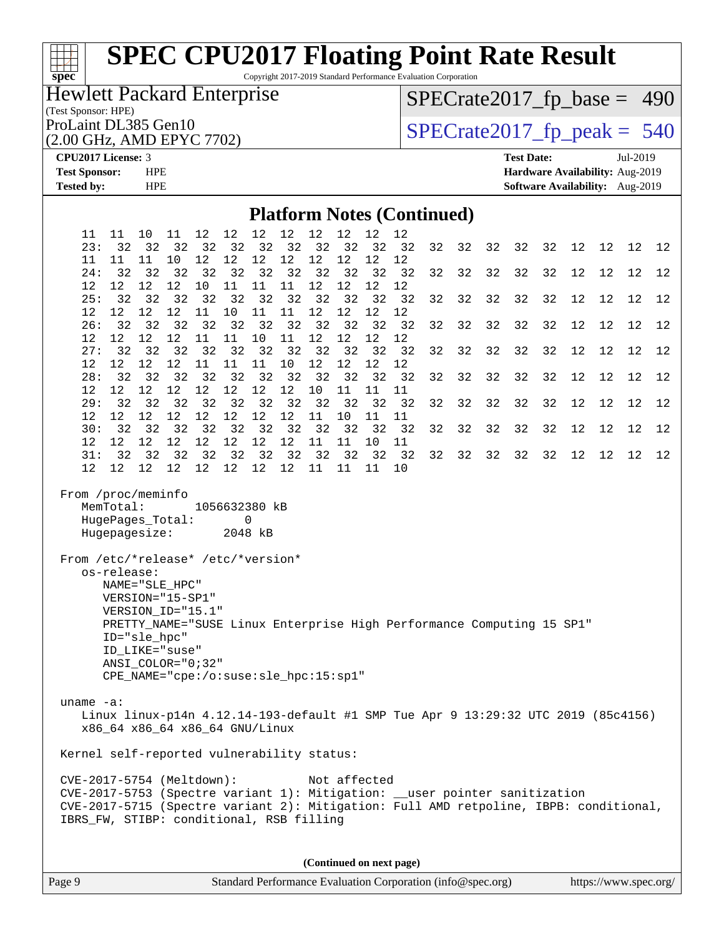Copyright 2017-2019 Standard Performance Evaluation Corporation

### Hewlett Packard Enterprise

(Test Sponsor: HPE)

(2.00 GHz, AMD EPYC 7702)

[SPECrate2017\\_fp\\_base =](http://www.spec.org/auto/cpu2017/Docs/result-fields.html#SPECrate2017fpbase) 490

ProLaint DL385 Gen10<br>  $(2.00 \text{ GHz} \cdot \text{AMD EPYC} \cdot 7702)$  SPECrate 2017\_fp\_peak = 540

**[spec](http://www.spec.org/)**

**[CPU2017 License:](http://www.spec.org/auto/cpu2017/Docs/result-fields.html#CPU2017License)** 3 **[Test Date:](http://www.spec.org/auto/cpu2017/Docs/result-fields.html#TestDate)** Jul-2019 **[Test Sponsor:](http://www.spec.org/auto/cpu2017/Docs/result-fields.html#TestSponsor)** HPE **[Hardware Availability:](http://www.spec.org/auto/cpu2017/Docs/result-fields.html#HardwareAvailability)** Aug-2019 **[Tested by:](http://www.spec.org/auto/cpu2017/Docs/result-fields.html#Testedby)** HPE **[Software Availability:](http://www.spec.org/auto/cpu2017/Docs/result-fields.html#SoftwareAvailability)** Aug-2019

#### **[Platform Notes \(Continued\)](http://www.spec.org/auto/cpu2017/Docs/result-fields.html#PlatformNotes)**

| 11<br>23:                                                                                                                                                                                                                                    | 11<br>32                                                                                                                                                                                                                 | 10<br>32                | 11<br>32                | 12<br>32 | 12<br>32 | 12<br>32                                | 12<br>32          | 12<br>32                | 12<br>32     | 12<br>32 | 12<br>32                                                                          | 32 | 32 | 32 | 32 | 32 | 12 | 12 | 12 | 12 |
|----------------------------------------------------------------------------------------------------------------------------------------------------------------------------------------------------------------------------------------------|--------------------------------------------------------------------------------------------------------------------------------------------------------------------------------------------------------------------------|-------------------------|-------------------------|----------|----------|-----------------------------------------|-------------------|-------------------------|--------------|----------|-----------------------------------------------------------------------------------|----|----|----|----|----|----|----|----|----|
| 11                                                                                                                                                                                                                                           | 11                                                                                                                                                                                                                       | 11                      | 10                      | 12       | $12$     | 12                                      | 12                | $1\,2$                  | $12\,$       | 12       | 12                                                                                |    |    |    |    |    |    |    |    |    |
| 24:                                                                                                                                                                                                                                          | 32                                                                                                                                                                                                                       | 32                      | 32                      | 32       | 32       | 32                                      | 32                | 32                      | 32           | 32       | 32                                                                                | 32 | 32 | 32 | 32 | 32 | 12 | 12 | 12 | 12 |
| 12                                                                                                                                                                                                                                           | $12 \overline{ }$                                                                                                                                                                                                        | $12 \overline{ }$       | $12 \overline{ }$       | 10       | 11       | 11                                      | 11                | 12                      | 12           | 12       | 12                                                                                |    |    |    |    |    |    |    |    |    |
| 25:<br>$12 \overline{ }$                                                                                                                                                                                                                     | 32<br>$12 \overline{ }$                                                                                                                                                                                                  | 32<br>12                | 32<br>$12 \,$           | 32<br>11 | 32<br>10 | 32<br>11                                | 32<br>11          | 32<br>$12 \overline{ }$ | 32<br>12     | 32<br>12 | 32<br>12                                                                          | 32 | 32 | 32 | 32 | 32 | 12 | 12 | 12 | 12 |
| 26:                                                                                                                                                                                                                                          | 32                                                                                                                                                                                                                       | 32                      | 32                      | 32       | 32       | 32                                      | 32                | 32                      | 32           | 32       | 32                                                                                | 32 | 32 | 32 | 32 | 32 | 12 | 12 | 12 | 12 |
| $12 \overline{ }$                                                                                                                                                                                                                            | $12 \overline{ }$                                                                                                                                                                                                        | 12                      | 12                      | 11       | 11       | 10                                      | 11                | 12                      | 12           | 12       | 12                                                                                |    |    |    |    |    |    |    |    |    |
| 27:                                                                                                                                                                                                                                          | 32                                                                                                                                                                                                                       | 32                      | 32                      | 32       | 32       | 32                                      | 32                | 32                      | 32           | 32       | 32                                                                                | 32 | 32 | 32 | 32 | 32 | 12 | 12 | 12 | 12 |
| $12 \overline{ }$                                                                                                                                                                                                                            | 12                                                                                                                                                                                                                       | $12 \overline{ }$       | 12                      | 11       | 11       | 11                                      | 10                | 12                      | 12           | 12       | 12                                                                                |    |    |    |    |    |    |    |    |    |
| 28:<br>$12 \overline{ }$                                                                                                                                                                                                                     | 32<br>12                                                                                                                                                                                                                 | 32<br>$12 \overline{ }$ | 32<br>$12 \overline{ }$ | 32<br>12 | 32<br>12 | 32<br>12                                | 32<br>12          | 32<br>10                | 32<br>11     | 32<br>11 | 32<br>11                                                                          | 32 | 32 | 32 | 32 | 32 | 12 | 12 | 12 | 12 |
| 29:                                                                                                                                                                                                                                          | 32                                                                                                                                                                                                                       | 32                      | 32                      | 32       | 32       | 32                                      | 32                | 32                      | 32           | 32       | 32                                                                                | 32 | 32 | 32 | 32 | 32 | 12 | 12 | 12 | 12 |
| $12 \overline{ }$                                                                                                                                                                                                                            | $12 \overline{ }$                                                                                                                                                                                                        | $12 \overline{ }$       | 12                      | 12       | 12       | 12                                      | 12                | 11                      | 10           | 11       | 11                                                                                |    |    |    |    |    |    |    |    |    |
| 30:                                                                                                                                                                                                                                          | 32                                                                                                                                                                                                                       | 32                      | 32                      | 32       | 32       | 32                                      | 32                | 32                      | 32           | 32       | 32                                                                                | 32 | 32 | 32 | 32 | 32 | 12 | 12 | 12 | 12 |
| $12 \overline{ }$<br>31:                                                                                                                                                                                                                     | $12 \overline{ }$<br>32                                                                                                                                                                                                  | 12<br>32                | $12 \overline{ }$<br>32 | 12<br>32 | 12<br>32 | 12<br>32                                | 12<br>32          | 11<br>32                | 11<br>32     | 10<br>32 | 11<br>32                                                                          | 32 | 32 | 32 | 32 | 32 | 12 | 12 | 12 | 12 |
| $12 \overline{ }$                                                                                                                                                                                                                            | 12                                                                                                                                                                                                                       | $12 \overline{ }$       | 12                      | 12       | 12       | 12                                      | $12 \overline{ }$ | 11                      | 11           | 11       | 10                                                                                |    |    |    |    |    |    |    |    |    |
| From /proc/meminfo<br>From /etc/*release* /etc/*version*                                                                                                                                                                                     | MemTotal:<br>HugePages_Total:<br>Hugepagesize:<br>os-release:<br>NAME="SLE HPC"<br>VERSION="15-SP1"<br>VERSION ID="15.1"<br>ID="sle hpc"<br>ID LIKE="suse"<br>ANSI COLOR="0;32"<br>CPE_NAME="cpe:/o:suse:sle_hpc:15:sp1" |                         |                         |          |          | 1056632380 kB<br>$\mathbf 0$<br>2048 kB |                   |                         |              |          | PRETTY_NAME="SUSE Linux Enterprise High Performance Computing 15 SP1"             |    |    |    |    |    |    |    |    |    |
| uname $-a$ :                                                                                                                                                                                                                                 | x86_64 x86_64 x86_64 GNU/Linux                                                                                                                                                                                           |                         |                         |          |          |                                         |                   |                         |              |          | Linux linux-p14n 4.12.14-193-default #1 SMP Tue Apr 9 13:29:32 UTC 2019 (85c4156) |    |    |    |    |    |    |    |    |    |
| Kernel self-reported vulnerability status:                                                                                                                                                                                                   |                                                                                                                                                                                                                          |                         |                         |          |          |                                         |                   |                         |              |          |                                                                                   |    |    |    |    |    |    |    |    |    |
| CVE-2017-5754 (Meltdown):<br>CVE-2017-5753 (Spectre variant 1): Mitigation: __user pointer sanitization<br>CVE-2017-5715 (Spectre variant 2): Mitigation: Full AMD retpoline, IBPB: conditional,<br>IBRS_FW, STIBP: conditional, RSB filling |                                                                                                                                                                                                                          |                         |                         |          |          |                                         |                   |                         | Not affected |          |                                                                                   |    |    |    |    |    |    |    |    |    |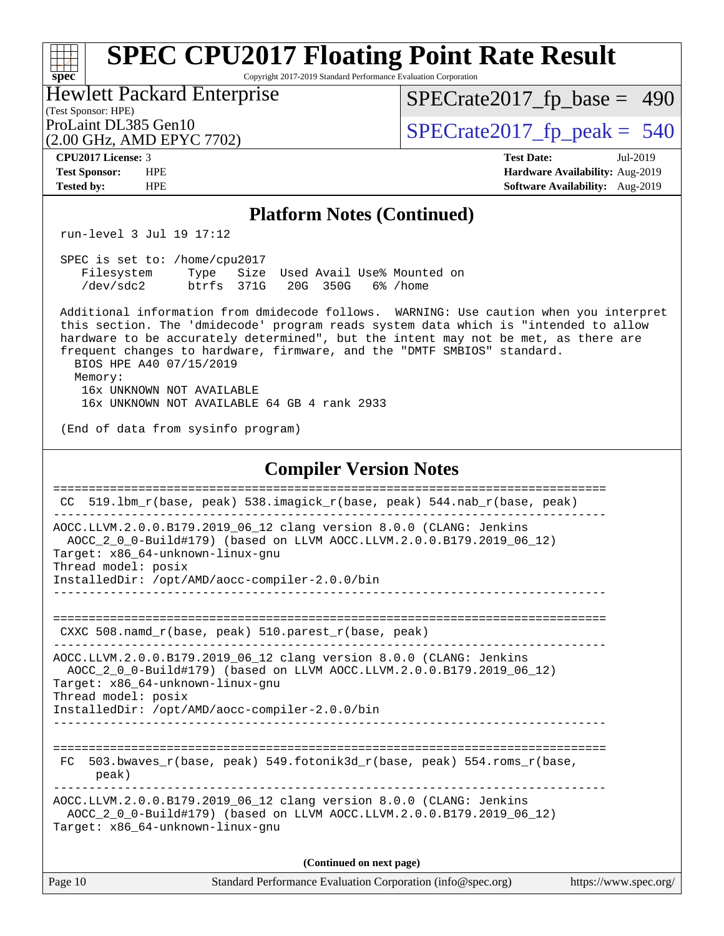#### **[spec](http://www.spec.org/) [SPEC CPU2017 Floating Point Rate Result](http://www.spec.org/auto/cpu2017/Docs/result-fields.html#SPECCPU2017FloatingPointRateResult)** Copyright 2017-2019 Standard Performance Evaluation Corporation

(Test Sponsor: HPE) Hewlett Packard Enterprise (2.00 GHz, AMD EPYC 7702)

[SPECrate2017\\_fp\\_base =](http://www.spec.org/auto/cpu2017/Docs/result-fields.html#SPECrate2017fpbase) 490

ProLaint DL385 Gen10<br>(2.00 GHz, AMD EPYC 7702)  $\qquad$  [SPECrate2017\\_fp\\_peak =](http://www.spec.org/auto/cpu2017/Docs/result-fields.html#SPECrate2017fppeak) 540

**[CPU2017 License:](http://www.spec.org/auto/cpu2017/Docs/result-fields.html#CPU2017License)** 3 **[Test Date:](http://www.spec.org/auto/cpu2017/Docs/result-fields.html#TestDate)** Jul-2019 **[Test Sponsor:](http://www.spec.org/auto/cpu2017/Docs/result-fields.html#TestSponsor)** HPE **[Hardware Availability:](http://www.spec.org/auto/cpu2017/Docs/result-fields.html#HardwareAvailability)** Aug-2019 **[Tested by:](http://www.spec.org/auto/cpu2017/Docs/result-fields.html#Testedby)** HPE **[Software Availability:](http://www.spec.org/auto/cpu2017/Docs/result-fields.html#SoftwareAvailability)** Aug-2019

#### **[Platform Notes \(Continued\)](http://www.spec.org/auto/cpu2017/Docs/result-fields.html#PlatformNotes)**

run-level 3 Jul 19 17:12

| SPEC is set to: /home/cpu2017 |                             |  |  |                                      |  |
|-------------------------------|-----------------------------|--|--|--------------------------------------|--|
| Filesystem                    |                             |  |  | Type Size Used Avail Use% Mounted on |  |
| /dev/sdc2                     | btrfs 371G 20G 350G 6%/home |  |  |                                      |  |

 Additional information from dmidecode follows. WARNING: Use caution when you interpret this section. The 'dmidecode' program reads system data which is "intended to allow hardware to be accurately determined", but the intent may not be met, as there are frequent changes to hardware, firmware, and the "DMTF SMBIOS" standard. BIOS HPE A40 07/15/2019 Memory: 16x UNKNOWN NOT AVAILABLE 16x UNKNOWN NOT AVAILABLE 64 GB 4 rank 2933

(End of data from sysinfo program)

#### **[Compiler Version Notes](http://www.spec.org/auto/cpu2017/Docs/result-fields.html#CompilerVersionNotes)**

| CC.     | 519.1bm_r(base, peak) 538.imagick_r(base, peak) 544.nab_r(base, peak)                                                                                                                                                                                     |                       |
|---------|-----------------------------------------------------------------------------------------------------------------------------------------------------------------------------------------------------------------------------------------------------------|-----------------------|
|         | AOCC.LLVM.2.0.0.B179.2019_06_12 clang version 8.0.0 (CLANG: Jenkins<br>AOCC_2_0_0-Build#179) (based on LLVM AOCC.LLVM.2.0.0.B179.2019_06_12)<br>Target: x86_64-unknown-linux-gnu<br>Thread model: posix<br>InstalledDir: /opt/AMD/aocc-compiler-2.0.0/bin |                       |
|         | CXXC 508. namd $r(base, peak)$ 510. parest $r(base, peak)$                                                                                                                                                                                                |                       |
|         | AOCC.LLVM.2.0.0.B179.2019_06_12 clang version 8.0.0 (CLANG: Jenkins<br>AOCC_2_0_0-Build#179) (based on LLVM AOCC.LLVM.2.0.0.B179.2019_06_12)<br>Target: x86_64-unknown-linux-gnu<br>Thread model: posix<br>InstalledDir: /opt/AMD/aocc-compiler-2.0.0/bin |                       |
| FC.     | 503.bwaves r(base, peak) 549.fotonik3d r(base, peak) 554.roms r(base,<br>peak)                                                                                                                                                                            |                       |
|         | AOCC.LLVM.2.0.0.B179.2019_06_12 clang version 8.0.0 (CLANG: Jenkins<br>AOCC 2 0 0-Build#179) (based on LLVM AOCC.LLVM.2.0.0.B179.2019 06 12)<br>Target: x86_64-unknown-linux-gnu                                                                          |                       |
|         | (Continued on next page)                                                                                                                                                                                                                                  |                       |
| Page 10 | Standard Performance Evaluation Corporation (info@spec.org)                                                                                                                                                                                               | https://www.spec.org/ |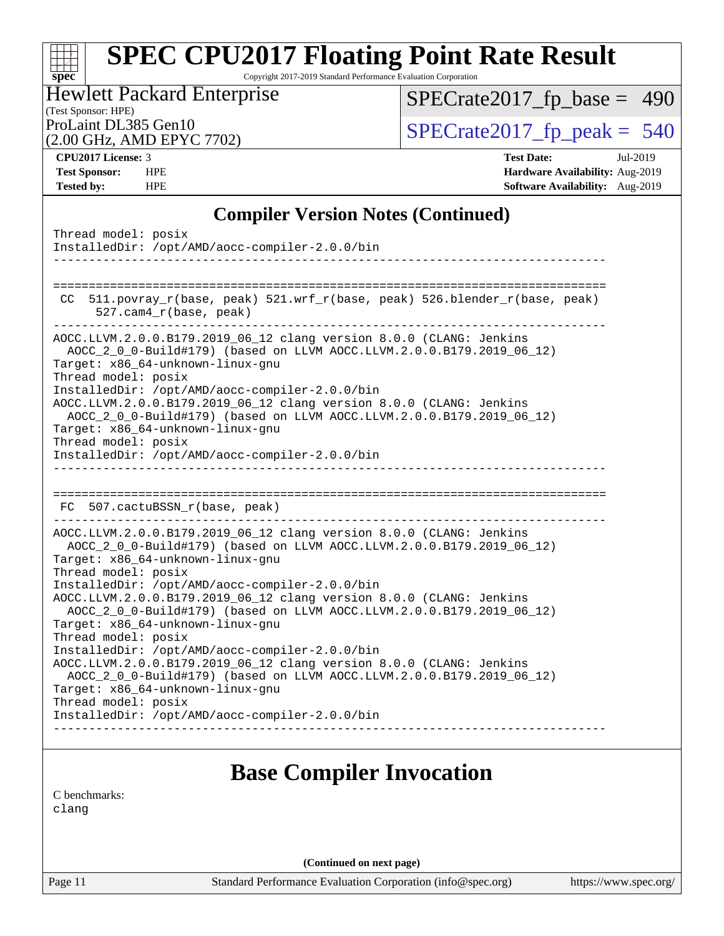Copyright 2017-2019 Standard Performance Evaluation Corporation

### (Test Sponsor: HPE) Hewlett Packard Enterprise

[SPECrate2017\\_fp\\_base =](http://www.spec.org/auto/cpu2017/Docs/result-fields.html#SPECrate2017fpbase) 490

(2.00 GHz, AMD EPYC 7702)

ProLaint DL385 Gen10<br>  $(2.00 \text{ GHz} \cdot \text{AMD FPYC} \cdot 7702)$  SPECrate 2017\_fp\_peak = 540

**[spec](http://www.spec.org/)**

**[CPU2017 License:](http://www.spec.org/auto/cpu2017/Docs/result-fields.html#CPU2017License)** 3 **[Test Date:](http://www.spec.org/auto/cpu2017/Docs/result-fields.html#TestDate)** Jul-2019 **[Test Sponsor:](http://www.spec.org/auto/cpu2017/Docs/result-fields.html#TestSponsor)** HPE **[Hardware Availability:](http://www.spec.org/auto/cpu2017/Docs/result-fields.html#HardwareAvailability)** Aug-2019 **[Tested by:](http://www.spec.org/auto/cpu2017/Docs/result-fields.html#Testedby)** HPE **[Software Availability:](http://www.spec.org/auto/cpu2017/Docs/result-fields.html#SoftwareAvailability)** Aug-2019

#### **[Compiler Version Notes \(Continued\)](http://www.spec.org/auto/cpu2017/Docs/result-fields.html#CompilerVersionNotes)**

| Thread model: posix<br>InstalledDir: /opt/AMD/aocc-compiler-2.0.0/bin<br>--------                                                                                                                                                                                                                                                                                                                                                                                                                                                                       |
|---------------------------------------------------------------------------------------------------------------------------------------------------------------------------------------------------------------------------------------------------------------------------------------------------------------------------------------------------------------------------------------------------------------------------------------------------------------------------------------------------------------------------------------------------------|
| 511.povray_r(base, peak) 521.wrf_r(base, peak) 526.blender_r(base, peak)<br>CC<br>$527.$ cam $4_r$ (base, peak)                                                                                                                                                                                                                                                                                                                                                                                                                                         |
| AOCC.LLVM.2.0.0.B179.2019_06_12 clang version 8.0.0 (CLANG: Jenkins<br>AOCC_2_0_0-Build#179) (based on LLVM AOCC.LLVM.2.0.0.B179.2019_06_12)<br>Target: x86_64-unknown-linux-gnu<br>Thread model: posix<br>InstalledDir: /opt/AMD/aocc-compiler-2.0.0/bin<br>AOCC.LLVM.2.0.0.B179.2019_06_12 clang version 8.0.0 (CLANG: Jenkins<br>AOCC_2_0_0-Build#179) (based on LLVM AOCC.LLVM.2.0.0.B179.2019_06_12)<br>Target: x86_64-unknown-linux-gnu<br>Thread model: posix<br>InstalledDir: /opt/AMD/aocc-compiler-2.0.0/bin<br>_____________________________ |
| FC 507.cactuBSSN_r(base, peak)                                                                                                                                                                                                                                                                                                                                                                                                                                                                                                                          |
| AOCC.LLVM.2.0.0.B179.2019_06_12 clang version 8.0.0 (CLANG: Jenkins<br>AOCC_2_0_0-Build#179) (based on LLVM AOCC.LLVM.2.0.0.B179.2019_06_12)<br>Target: x86_64-unknown-linux-gnu<br>Thread model: posix                                                                                                                                                                                                                                                                                                                                                 |
| InstalledDir: /opt/AMD/aocc-compiler-2.0.0/bin<br>AOCC.LLVM.2.0.0.B179.2019_06_12 clang version 8.0.0 (CLANG: Jenkins<br>AOCC_2_0_0-Build#179) (based on LLVM AOCC.LLVM.2.0.0.B179.2019_06_12)<br>Target: x86_64-unknown-linux-gnu                                                                                                                                                                                                                                                                                                                      |
| Thread model: posix<br>InstalledDir: /opt/AMD/aocc-compiler-2.0.0/bin<br>AOCC.LLVM.2.0.0.B179.2019_06_12 clang version 8.0.0 (CLANG: Jenkins<br>AOCC_2_0_0-Build#179) (based on LLVM AOCC.LLVM.2.0.0.B179.2019_06_12)<br>Target: x86_64-unknown-linux-gnu                                                                                                                                                                                                                                                                                               |
| Thread model: posix<br>InstalledDir: /opt/AMD/aocc-compiler-2.0.0/bin                                                                                                                                                                                                                                                                                                                                                                                                                                                                                   |
| <b>Base Compiler Invocation</b>                                                                                                                                                                                                                                                                                                                                                                                                                                                                                                                         |
| C benchmarks:                                                                                                                                                                                                                                                                                                                                                                                                                                                                                                                                           |

[clang](http://www.spec.org/cpu2017/results/res2019q3/cpu2017-20190723-16407.flags.html#user_CCbase_clang-c)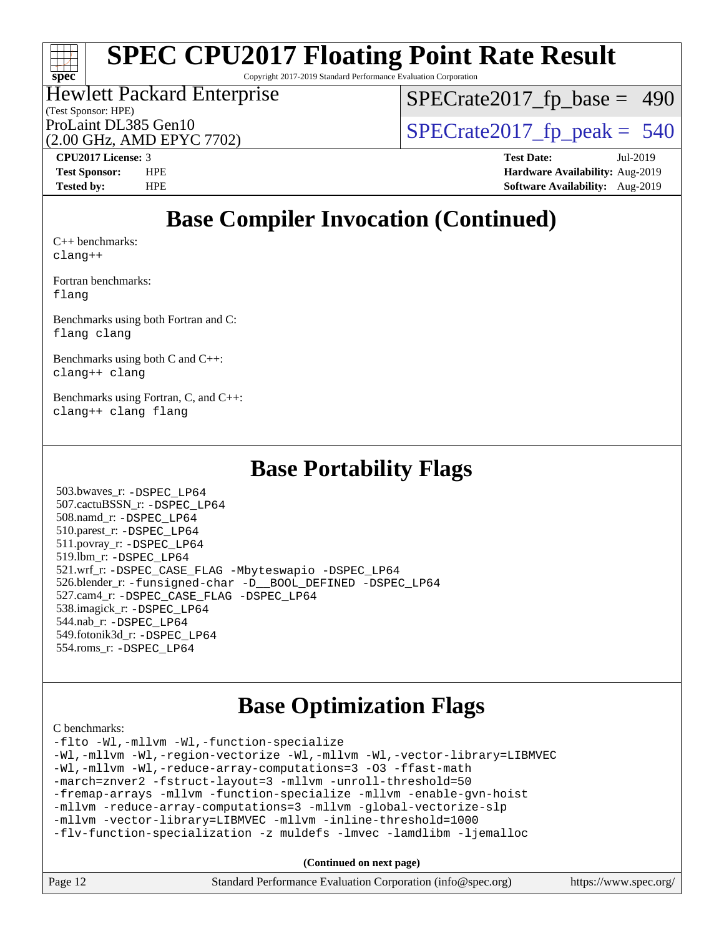Copyright 2017-2019 Standard Performance Evaluation Corporation

#### (Test Sponsor: HPE) Hewlett Packard Enterprise ProLaint DL385 Gen10<br>(2.00 GHz, AMD EPYC 7702)  $\qquad$  [SPECrate2017\\_fp\\_peak =](http://www.spec.org/auto/cpu2017/Docs/result-fields.html#SPECrate2017fppeak) 540

[SPECrate2017\\_fp\\_base =](http://www.spec.org/auto/cpu2017/Docs/result-fields.html#SPECrate2017fpbase) 490

(2.00 GHz, AMD EPYC 7702)

**[Tested by:](http://www.spec.org/auto/cpu2017/Docs/result-fields.html#Testedby)** HPE **[Software Availability:](http://www.spec.org/auto/cpu2017/Docs/result-fields.html#SoftwareAvailability)** Aug-2019

**[CPU2017 License:](http://www.spec.org/auto/cpu2017/Docs/result-fields.html#CPU2017License)** 3 **[Test Date:](http://www.spec.org/auto/cpu2017/Docs/result-fields.html#TestDate)** Jul-2019 **[Test Sponsor:](http://www.spec.org/auto/cpu2017/Docs/result-fields.html#TestSponsor)** HPE **[Hardware Availability:](http://www.spec.org/auto/cpu2017/Docs/result-fields.html#HardwareAvailability)** Aug-2019

### **[Base Compiler Invocation \(Continued\)](http://www.spec.org/auto/cpu2017/Docs/result-fields.html#BaseCompilerInvocation)**

[C++ benchmarks:](http://www.spec.org/auto/cpu2017/Docs/result-fields.html#CXXbenchmarks) [clang++](http://www.spec.org/cpu2017/results/res2019q3/cpu2017-20190723-16407.flags.html#user_CXXbase_clang-cpp)

**[spec](http://www.spec.org/)**

[Fortran benchmarks](http://www.spec.org/auto/cpu2017/Docs/result-fields.html#Fortranbenchmarks): [flang](http://www.spec.org/cpu2017/results/res2019q3/cpu2017-20190723-16407.flags.html#user_FCbase_flang)

[Benchmarks using both Fortran and C](http://www.spec.org/auto/cpu2017/Docs/result-fields.html#BenchmarksusingbothFortranandC): [flang](http://www.spec.org/cpu2017/results/res2019q3/cpu2017-20190723-16407.flags.html#user_CC_FCbase_flang) [clang](http://www.spec.org/cpu2017/results/res2019q3/cpu2017-20190723-16407.flags.html#user_CC_FCbase_clang-c)

[Benchmarks using both C and C++](http://www.spec.org/auto/cpu2017/Docs/result-fields.html#BenchmarksusingbothCandCXX): [clang++](http://www.spec.org/cpu2017/results/res2019q3/cpu2017-20190723-16407.flags.html#user_CC_CXXbase_clang-cpp) [clang](http://www.spec.org/cpu2017/results/res2019q3/cpu2017-20190723-16407.flags.html#user_CC_CXXbase_clang-c)

[Benchmarks using Fortran, C, and C++:](http://www.spec.org/auto/cpu2017/Docs/result-fields.html#BenchmarksusingFortranCandCXX) [clang++](http://www.spec.org/cpu2017/results/res2019q3/cpu2017-20190723-16407.flags.html#user_CC_CXX_FCbase_clang-cpp) [clang](http://www.spec.org/cpu2017/results/res2019q3/cpu2017-20190723-16407.flags.html#user_CC_CXX_FCbase_clang-c) [flang](http://www.spec.org/cpu2017/results/res2019q3/cpu2017-20190723-16407.flags.html#user_CC_CXX_FCbase_flang)

### **[Base Portability Flags](http://www.spec.org/auto/cpu2017/Docs/result-fields.html#BasePortabilityFlags)**

 503.bwaves\_r: [-DSPEC\\_LP64](http://www.spec.org/cpu2017/results/res2019q3/cpu2017-20190723-16407.flags.html#suite_baseEXTRA_PORTABILITY503_bwaves_r_DSPEC_LP64) 507.cactuBSSN\_r: [-DSPEC\\_LP64](http://www.spec.org/cpu2017/results/res2019q3/cpu2017-20190723-16407.flags.html#suite_baseEXTRA_PORTABILITY507_cactuBSSN_r_DSPEC_LP64) 508.namd\_r: [-DSPEC\\_LP64](http://www.spec.org/cpu2017/results/res2019q3/cpu2017-20190723-16407.flags.html#suite_baseEXTRA_PORTABILITY508_namd_r_DSPEC_LP64) 510.parest\_r: [-DSPEC\\_LP64](http://www.spec.org/cpu2017/results/res2019q3/cpu2017-20190723-16407.flags.html#suite_baseEXTRA_PORTABILITY510_parest_r_DSPEC_LP64) 511.povray\_r: [-DSPEC\\_LP64](http://www.spec.org/cpu2017/results/res2019q3/cpu2017-20190723-16407.flags.html#suite_baseEXTRA_PORTABILITY511_povray_r_DSPEC_LP64) 519.lbm\_r: [-DSPEC\\_LP64](http://www.spec.org/cpu2017/results/res2019q3/cpu2017-20190723-16407.flags.html#suite_baseEXTRA_PORTABILITY519_lbm_r_DSPEC_LP64) 521.wrf\_r: [-DSPEC\\_CASE\\_FLAG](http://www.spec.org/cpu2017/results/res2019q3/cpu2017-20190723-16407.flags.html#b521.wrf_r_baseCPORTABILITY_DSPEC_CASE_FLAG) [-Mbyteswapio](http://www.spec.org/cpu2017/results/res2019q3/cpu2017-20190723-16407.flags.html#user_baseFPORTABILITY521_wrf_r_F-mbyteswapio_543c39ce38db59bcbc3b888917ef58c313007ae1c27520b689e012995ae261114051d1d5efcb4182d175ce22a6a15532d3a9999882dd2c360e6d853f41da6883) [-DSPEC\\_LP64](http://www.spec.org/cpu2017/results/res2019q3/cpu2017-20190723-16407.flags.html#suite_baseEXTRA_PORTABILITY521_wrf_r_DSPEC_LP64) 526.blender\_r: [-funsigned-char](http://www.spec.org/cpu2017/results/res2019q3/cpu2017-20190723-16407.flags.html#user_baseCPORTABILITY526_blender_r_aocc-unsigned-char) [-D\\_\\_BOOL\\_DEFINED](http://www.spec.org/cpu2017/results/res2019q3/cpu2017-20190723-16407.flags.html#b526.blender_r_baseCXXPORTABILITY_D__BOOL_DEFINED) [-DSPEC\\_LP64](http://www.spec.org/cpu2017/results/res2019q3/cpu2017-20190723-16407.flags.html#suite_baseEXTRA_PORTABILITY526_blender_r_DSPEC_LP64) 527.cam4\_r: [-DSPEC\\_CASE\\_FLAG](http://www.spec.org/cpu2017/results/res2019q3/cpu2017-20190723-16407.flags.html#b527.cam4_r_basePORTABILITY_DSPEC_CASE_FLAG) [-DSPEC\\_LP64](http://www.spec.org/cpu2017/results/res2019q3/cpu2017-20190723-16407.flags.html#suite_baseEXTRA_PORTABILITY527_cam4_r_DSPEC_LP64) 538.imagick\_r: [-DSPEC\\_LP64](http://www.spec.org/cpu2017/results/res2019q3/cpu2017-20190723-16407.flags.html#suite_baseEXTRA_PORTABILITY538_imagick_r_DSPEC_LP64) 544.nab\_r: [-DSPEC\\_LP64](http://www.spec.org/cpu2017/results/res2019q3/cpu2017-20190723-16407.flags.html#suite_baseEXTRA_PORTABILITY544_nab_r_DSPEC_LP64) 549.fotonik3d\_r: [-DSPEC\\_LP64](http://www.spec.org/cpu2017/results/res2019q3/cpu2017-20190723-16407.flags.html#suite_baseEXTRA_PORTABILITY549_fotonik3d_r_DSPEC_LP64) 554.roms\_r: [-DSPEC\\_LP64](http://www.spec.org/cpu2017/results/res2019q3/cpu2017-20190723-16407.flags.html#suite_baseEXTRA_PORTABILITY554_roms_r_DSPEC_LP64)

### **[Base Optimization Flags](http://www.spec.org/auto/cpu2017/Docs/result-fields.html#BaseOptimizationFlags)**

[C benchmarks](http://www.spec.org/auto/cpu2017/Docs/result-fields.html#Cbenchmarks):

[-flto](http://www.spec.org/cpu2017/results/res2019q3/cpu2017-20190723-16407.flags.html#user_CCbase_aocc-flto) [-Wl,-mllvm -Wl,-function-specialize](http://www.spec.org/cpu2017/results/res2019q3/cpu2017-20190723-16407.flags.html#user_CCbase_F-function-specialize_7e7e661e57922243ee67c9a1251cb8910e607325179a0ce7f2884e09a6f5d4a5ef0ae4f37e8a2a11c95fc48e931f06dc2b6016f14b511fcb441e048bef1b065a) [-Wl,-mllvm -Wl,-region-vectorize](http://www.spec.org/cpu2017/results/res2019q3/cpu2017-20190723-16407.flags.html#user_CCbase_F-region-vectorize_fb6c6b5aa293c88efc6c7c2b52b20755e943585b1fe8658c35afef78727fff56e1a56891413c30e36b8e2a6f9a71126986319243e80eb6110b78b288f533c52b) [-Wl,-mllvm -Wl,-vector-library=LIBMVEC](http://www.spec.org/cpu2017/results/res2019q3/cpu2017-20190723-16407.flags.html#user_CCbase_F-use-vector-library_0a14b27fae317f283640384a31f7bfcc2bd4c1d0b5cfc618a3a430800c9b20217b00f61303eff223a3251b4f06ffbc9739dc5296db9d1fbb9ad24a3939d86d66) [-Wl,-mllvm -Wl,-reduce-array-computations=3](http://www.spec.org/cpu2017/results/res2019q3/cpu2017-20190723-16407.flags.html#user_CCbase_F-reduce-array-computations_b882aefe7a5dda4e33149f6299762b9a720dace3e498e13756f4c04e5a19edf5315c1f3993de2e61ec41e8c206231f84e05da7040e1bb5d69ba27d10a12507e4) [-O3](http://www.spec.org/cpu2017/results/res2019q3/cpu2017-20190723-16407.flags.html#user_CCbase_F-O3) [-ffast-math](http://www.spec.org/cpu2017/results/res2019q3/cpu2017-20190723-16407.flags.html#user_CCbase_aocc-ffast-math) [-march=znver2](http://www.spec.org/cpu2017/results/res2019q3/cpu2017-20190723-16407.flags.html#user_CCbase_aocc-march_3e2e19cff2eeef60c5d90b059483627c9ea47eca6d66670dbd53f9185f6439e27eb5e104cf773e9e8ab18c8842ce63e461a3e948d0214bd567ef3ade411bf467) [-fstruct-layout=3](http://www.spec.org/cpu2017/results/res2019q3/cpu2017-20190723-16407.flags.html#user_CCbase_F-struct-layout) [-mllvm -unroll-threshold=50](http://www.spec.org/cpu2017/results/res2019q3/cpu2017-20190723-16407.flags.html#user_CCbase_F-unroll-threshold_458874500b2c105d6d5cb4d7a611c40e2b16e9e3d26b355fea72d644c3673b4de4b3932662f0ed3dbec75c491a13da2d2ca81180bd779dc531083ef1e1e549dc) [-fremap-arrays](http://www.spec.org/cpu2017/results/res2019q3/cpu2017-20190723-16407.flags.html#user_CCbase_F-fremap-arrays) [-mllvm -function-specialize](http://www.spec.org/cpu2017/results/res2019q3/cpu2017-20190723-16407.flags.html#user_CCbase_F-function-specialize_233b3bdba86027f1b094368157e481c5bc59f40286dc25bfadc1858dcd5745c24fd30d5f188710db7fea399bcc9f44a80b3ce3aacc70a8870250c3ae5e1f35b8) [-mllvm -enable-gvn-hoist](http://www.spec.org/cpu2017/results/res2019q3/cpu2017-20190723-16407.flags.html#user_CCbase_F-enable-gvn-hoist_e5856354646dd6ca1333a0ad99b817e4cf8932b91b82809fd8fd47ceff7b22a89eba5c98fd3e3fa5200368fd772cec3dd56abc3c8f7b655a71b9f9848dddedd5) [-mllvm -reduce-array-computations=3](http://www.spec.org/cpu2017/results/res2019q3/cpu2017-20190723-16407.flags.html#user_CCbase_F-reduce-array-computations_aceadb8604558b566e0e3a0d7a3c1533923dd1fa0889614e16288028922629a28d5695c24d3b3be4306b1e311c54317dfffe3a2e57fbcaabc737a1798de39145) [-mllvm -global-vectorize-slp](http://www.spec.org/cpu2017/results/res2019q3/cpu2017-20190723-16407.flags.html#user_CCbase_F-global-vectorize-slp_a3935e8627af4ced727033b1ffd4db27f4d541a363d28d82bf4c2925fb3a0fd4115d6e42d13a2829f9e024d6608eb67a85cb49770f2da5c5ac8dbc737afad603) [-mllvm -vector-library=LIBMVEC](http://www.spec.org/cpu2017/results/res2019q3/cpu2017-20190723-16407.flags.html#user_CCbase_F-use-vector-library_e584e20b4f7ec96aa109254b65d8e01d864f3d68580371b9d93ed7c338191d4cfce20c3c864632264effc6bbe4c7c38153d02096a342ee92501c4a53204a7871) [-mllvm -inline-threshold=1000](http://www.spec.org/cpu2017/results/res2019q3/cpu2017-20190723-16407.flags.html#user_CCbase_dragonegg-llvm-inline-threshold_b7832241b0a6397e4ecdbaf0eb7defdc10f885c2a282fa3240fdc99844d543fda39cf8a4a9dccf68cf19b5438ac3b455264f478df15da0f4988afa40d8243bab) [-flv-function-specialization](http://www.spec.org/cpu2017/results/res2019q3/cpu2017-20190723-16407.flags.html#user_CCbase_F-flv-function-specialization) [-z muldefs](http://www.spec.org/cpu2017/results/res2019q3/cpu2017-20190723-16407.flags.html#user_CCbase_aocc-muldefs) [-lmvec](http://www.spec.org/cpu2017/results/res2019q3/cpu2017-20190723-16407.flags.html#user_CCbase_F-lmvec) [-lamdlibm](http://www.spec.org/cpu2017/results/res2019q3/cpu2017-20190723-16407.flags.html#user_CCbase_F-lamdlibm) [-ljemalloc](http://www.spec.org/cpu2017/results/res2019q3/cpu2017-20190723-16407.flags.html#user_CCbase_jemalloc-lib)

| Page 12 | Standard Performance Evaluation Corporation (info@spec.org) | https://www.spec.org/ |
|---------|-------------------------------------------------------------|-----------------------|
|---------|-------------------------------------------------------------|-----------------------|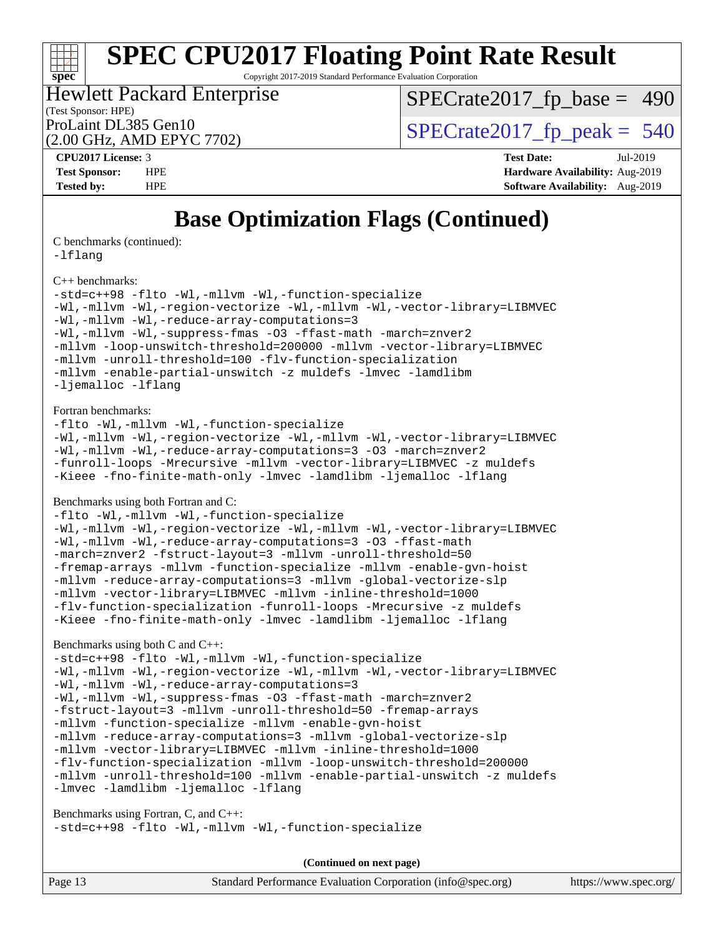Copyright 2017-2019 Standard Performance Evaluation Corporation

#### (Test Sponsor: HPE) Hewlett Packard Enterprise

 $SPECTate2017_fp\_base = 490$ 

(2.00 GHz, AMD EPYC 7702)

ProLaint DL385 Gen10<br>  $\alpha$  on  $G$ H<sub>2</sub> AMD FPYC 7702)

| CPU <sub>2017</sub> License: 3 |            |
|--------------------------------|------------|
| <b>Test Sponsor:</b>           | <b>HPF</b> |

**[CPU2017 License:](http://www.spec.org/auto/cpu2017/Docs/result-fields.html#CPU2017License)** 3 **[Test Date:](http://www.spec.org/auto/cpu2017/Docs/result-fields.html#TestDate)** Jul-2019 **[Test Sponsor:](http://www.spec.org/auto/cpu2017/Docs/result-fields.html#TestSponsor)** [Hardware Availability:](http://www.spec.org/auto/cpu2017/Docs/result-fields.html#HardwareAvailability) Aug-2019 **[Tested by:](http://www.spec.org/auto/cpu2017/Docs/result-fields.html#Testedby)** HPE **[Software Availability:](http://www.spec.org/auto/cpu2017/Docs/result-fields.html#SoftwareAvailability)** Aug-2019

### **[Base Optimization Flags \(Continued\)](http://www.spec.org/auto/cpu2017/Docs/result-fields.html#BaseOptimizationFlags)**

[C benchmarks](http://www.spec.org/auto/cpu2017/Docs/result-fields.html#Cbenchmarks) (continued):

[-lflang](http://www.spec.org/cpu2017/results/res2019q3/cpu2017-20190723-16407.flags.html#user_CCbase_F-lflang)

**[spec](http://www.spec.org/)**

[C++ benchmarks:](http://www.spec.org/auto/cpu2017/Docs/result-fields.html#CXXbenchmarks)

[-std=c++98](http://www.spec.org/cpu2017/results/res2019q3/cpu2017-20190723-16407.flags.html#user_CXXbase_std-cpp) [-flto](http://www.spec.org/cpu2017/results/res2019q3/cpu2017-20190723-16407.flags.html#user_CXXbase_aocc-flto) [-Wl,-mllvm -Wl,-function-specialize](http://www.spec.org/cpu2017/results/res2019q3/cpu2017-20190723-16407.flags.html#user_CXXbase_F-function-specialize_7e7e661e57922243ee67c9a1251cb8910e607325179a0ce7f2884e09a6f5d4a5ef0ae4f37e8a2a11c95fc48e931f06dc2b6016f14b511fcb441e048bef1b065a) [-Wl,-mllvm -Wl,-region-vectorize](http://www.spec.org/cpu2017/results/res2019q3/cpu2017-20190723-16407.flags.html#user_CXXbase_F-region-vectorize_fb6c6b5aa293c88efc6c7c2b52b20755e943585b1fe8658c35afef78727fff56e1a56891413c30e36b8e2a6f9a71126986319243e80eb6110b78b288f533c52b) [-Wl,-mllvm -Wl,-vector-library=LIBMVEC](http://www.spec.org/cpu2017/results/res2019q3/cpu2017-20190723-16407.flags.html#user_CXXbase_F-use-vector-library_0a14b27fae317f283640384a31f7bfcc2bd4c1d0b5cfc618a3a430800c9b20217b00f61303eff223a3251b4f06ffbc9739dc5296db9d1fbb9ad24a3939d86d66) [-Wl,-mllvm -Wl,-reduce-array-computations=3](http://www.spec.org/cpu2017/results/res2019q3/cpu2017-20190723-16407.flags.html#user_CXXbase_F-reduce-array-computations_b882aefe7a5dda4e33149f6299762b9a720dace3e498e13756f4c04e5a19edf5315c1f3993de2e61ec41e8c206231f84e05da7040e1bb5d69ba27d10a12507e4) [-Wl,-mllvm -Wl,-suppress-fmas](http://www.spec.org/cpu2017/results/res2019q3/cpu2017-20190723-16407.flags.html#user_CXXbase_F-suppress-fmas_f00f00630e4a059e8af9c161e9bbf420bcf19890a7f99d5933525e66aa4b0bb3ab2339d2b12d97d3a5f5d271e839fe9c109938e91fe06230fb53651590cfa1e8) [-O3](http://www.spec.org/cpu2017/results/res2019q3/cpu2017-20190723-16407.flags.html#user_CXXbase_F-O3) [-ffast-math](http://www.spec.org/cpu2017/results/res2019q3/cpu2017-20190723-16407.flags.html#user_CXXbase_aocc-ffast-math) [-march=znver2](http://www.spec.org/cpu2017/results/res2019q3/cpu2017-20190723-16407.flags.html#user_CXXbase_aocc-march_3e2e19cff2eeef60c5d90b059483627c9ea47eca6d66670dbd53f9185f6439e27eb5e104cf773e9e8ab18c8842ce63e461a3e948d0214bd567ef3ade411bf467) [-mllvm -loop-unswitch-threshold=200000](http://www.spec.org/cpu2017/results/res2019q3/cpu2017-20190723-16407.flags.html#user_CXXbase_F-loop-unswitch-threshold_f9a82ae3270e55b5fbf79d0d96ee93606b73edbbe527d20b18b7bff1a3a146ad50cfc7454c5297978340ae9213029016a7d16221274d672d3f7f42ed25274e1d) [-mllvm -vector-library=LIBMVEC](http://www.spec.org/cpu2017/results/res2019q3/cpu2017-20190723-16407.flags.html#user_CXXbase_F-use-vector-library_e584e20b4f7ec96aa109254b65d8e01d864f3d68580371b9d93ed7c338191d4cfce20c3c864632264effc6bbe4c7c38153d02096a342ee92501c4a53204a7871) [-mllvm -unroll-threshold=100](http://www.spec.org/cpu2017/results/res2019q3/cpu2017-20190723-16407.flags.html#user_CXXbase_F-unroll-threshold_2755d0c78138845d361fa1543e3a063fffa198df9b3edf0cfb856bbc88a81e1769b12ac7a550c5d35197be55360db1a3f95a8d1304df999456cabf5120c45168) [-flv-function-specialization](http://www.spec.org/cpu2017/results/res2019q3/cpu2017-20190723-16407.flags.html#user_CXXbase_F-flv-function-specialization) [-mllvm -enable-partial-unswitch](http://www.spec.org/cpu2017/results/res2019q3/cpu2017-20190723-16407.flags.html#user_CXXbase_F-enable-partial-unswitch_6e1c33f981d77963b1eaf834973128a7f33ce3f8e27f54689656697a35e89dcc875281e0e6283d043e32f367dcb605ba0e307a92e830f7e326789fa6c61b35d3) [-z muldefs](http://www.spec.org/cpu2017/results/res2019q3/cpu2017-20190723-16407.flags.html#user_CXXbase_aocc-muldefs) [-lmvec](http://www.spec.org/cpu2017/results/res2019q3/cpu2017-20190723-16407.flags.html#user_CXXbase_F-lmvec) [-lamdlibm](http://www.spec.org/cpu2017/results/res2019q3/cpu2017-20190723-16407.flags.html#user_CXXbase_F-lamdlibm) [-ljemalloc](http://www.spec.org/cpu2017/results/res2019q3/cpu2017-20190723-16407.flags.html#user_CXXbase_jemalloc-lib) [-lflang](http://www.spec.org/cpu2017/results/res2019q3/cpu2017-20190723-16407.flags.html#user_CXXbase_F-lflang)

#### [Fortran benchmarks](http://www.spec.org/auto/cpu2017/Docs/result-fields.html#Fortranbenchmarks):

[-flto](http://www.spec.org/cpu2017/results/res2019q3/cpu2017-20190723-16407.flags.html#user_FCbase_aocc-flto) [-Wl,-mllvm -Wl,-function-specialize](http://www.spec.org/cpu2017/results/res2019q3/cpu2017-20190723-16407.flags.html#user_FCbase_F-function-specialize_7e7e661e57922243ee67c9a1251cb8910e607325179a0ce7f2884e09a6f5d4a5ef0ae4f37e8a2a11c95fc48e931f06dc2b6016f14b511fcb441e048bef1b065a) [-Wl,-mllvm -Wl,-region-vectorize](http://www.spec.org/cpu2017/results/res2019q3/cpu2017-20190723-16407.flags.html#user_FCbase_F-region-vectorize_fb6c6b5aa293c88efc6c7c2b52b20755e943585b1fe8658c35afef78727fff56e1a56891413c30e36b8e2a6f9a71126986319243e80eb6110b78b288f533c52b) [-Wl,-mllvm -Wl,-vector-library=LIBMVEC](http://www.spec.org/cpu2017/results/res2019q3/cpu2017-20190723-16407.flags.html#user_FCbase_F-use-vector-library_0a14b27fae317f283640384a31f7bfcc2bd4c1d0b5cfc618a3a430800c9b20217b00f61303eff223a3251b4f06ffbc9739dc5296db9d1fbb9ad24a3939d86d66) [-Wl,-mllvm -Wl,-reduce-array-computations=3](http://www.spec.org/cpu2017/results/res2019q3/cpu2017-20190723-16407.flags.html#user_FCbase_F-reduce-array-computations_b882aefe7a5dda4e33149f6299762b9a720dace3e498e13756f4c04e5a19edf5315c1f3993de2e61ec41e8c206231f84e05da7040e1bb5d69ba27d10a12507e4) [-O3](http://www.spec.org/cpu2017/results/res2019q3/cpu2017-20190723-16407.flags.html#user_FCbase_F-O3) [-march=znver2](http://www.spec.org/cpu2017/results/res2019q3/cpu2017-20190723-16407.flags.html#user_FCbase_aocc-march_3e2e19cff2eeef60c5d90b059483627c9ea47eca6d66670dbd53f9185f6439e27eb5e104cf773e9e8ab18c8842ce63e461a3e948d0214bd567ef3ade411bf467) [-funroll-loops](http://www.spec.org/cpu2017/results/res2019q3/cpu2017-20190723-16407.flags.html#user_FCbase_aocc-unroll-loops) [-Mrecursive](http://www.spec.org/cpu2017/results/res2019q3/cpu2017-20190723-16407.flags.html#user_FCbase_F-mrecursive_20a145d63f12d5750a899e17d4450b5b8b40330a9bb4af13688ca650e6fb30857bbbe44fb35cdbb895df6e5b2769de0a0d7659f51ff17acfbef6febafec4023f) [-mllvm -vector-library=LIBMVEC](http://www.spec.org/cpu2017/results/res2019q3/cpu2017-20190723-16407.flags.html#user_FCbase_F-use-vector-library_e584e20b4f7ec96aa109254b65d8e01d864f3d68580371b9d93ed7c338191d4cfce20c3c864632264effc6bbe4c7c38153d02096a342ee92501c4a53204a7871) [-z muldefs](http://www.spec.org/cpu2017/results/res2019q3/cpu2017-20190723-16407.flags.html#user_FCbase_aocc-muldefs) [-Kieee](http://www.spec.org/cpu2017/results/res2019q3/cpu2017-20190723-16407.flags.html#user_FCbase_F-kieee) [-fno-finite-math-only](http://www.spec.org/cpu2017/results/res2019q3/cpu2017-20190723-16407.flags.html#user_FCbase_aocc-fno-finite-math-only) [-lmvec](http://www.spec.org/cpu2017/results/res2019q3/cpu2017-20190723-16407.flags.html#user_FCbase_F-lmvec) [-lamdlibm](http://www.spec.org/cpu2017/results/res2019q3/cpu2017-20190723-16407.flags.html#user_FCbase_F-lamdlibm) [-ljemalloc](http://www.spec.org/cpu2017/results/res2019q3/cpu2017-20190723-16407.flags.html#user_FCbase_jemalloc-lib) [-lflang](http://www.spec.org/cpu2017/results/res2019q3/cpu2017-20190723-16407.flags.html#user_FCbase_F-lflang)

[Benchmarks using both Fortran and C](http://www.spec.org/auto/cpu2017/Docs/result-fields.html#BenchmarksusingbothFortranandC):

[-flto](http://www.spec.org/cpu2017/results/res2019q3/cpu2017-20190723-16407.flags.html#user_CC_FCbase_aocc-flto) [-Wl,-mllvm -Wl,-function-specialize](http://www.spec.org/cpu2017/results/res2019q3/cpu2017-20190723-16407.flags.html#user_CC_FCbase_F-function-specialize_7e7e661e57922243ee67c9a1251cb8910e607325179a0ce7f2884e09a6f5d4a5ef0ae4f37e8a2a11c95fc48e931f06dc2b6016f14b511fcb441e048bef1b065a) [-Wl,-mllvm -Wl,-region-vectorize](http://www.spec.org/cpu2017/results/res2019q3/cpu2017-20190723-16407.flags.html#user_CC_FCbase_F-region-vectorize_fb6c6b5aa293c88efc6c7c2b52b20755e943585b1fe8658c35afef78727fff56e1a56891413c30e36b8e2a6f9a71126986319243e80eb6110b78b288f533c52b) [-Wl,-mllvm -Wl,-vector-library=LIBMVEC](http://www.spec.org/cpu2017/results/res2019q3/cpu2017-20190723-16407.flags.html#user_CC_FCbase_F-use-vector-library_0a14b27fae317f283640384a31f7bfcc2bd4c1d0b5cfc618a3a430800c9b20217b00f61303eff223a3251b4f06ffbc9739dc5296db9d1fbb9ad24a3939d86d66) [-Wl,-mllvm -Wl,-reduce-array-computations=3](http://www.spec.org/cpu2017/results/res2019q3/cpu2017-20190723-16407.flags.html#user_CC_FCbase_F-reduce-array-computations_b882aefe7a5dda4e33149f6299762b9a720dace3e498e13756f4c04e5a19edf5315c1f3993de2e61ec41e8c206231f84e05da7040e1bb5d69ba27d10a12507e4) [-O3](http://www.spec.org/cpu2017/results/res2019q3/cpu2017-20190723-16407.flags.html#user_CC_FCbase_F-O3) [-ffast-math](http://www.spec.org/cpu2017/results/res2019q3/cpu2017-20190723-16407.flags.html#user_CC_FCbase_aocc-ffast-math) [-march=znver2](http://www.spec.org/cpu2017/results/res2019q3/cpu2017-20190723-16407.flags.html#user_CC_FCbase_aocc-march_3e2e19cff2eeef60c5d90b059483627c9ea47eca6d66670dbd53f9185f6439e27eb5e104cf773e9e8ab18c8842ce63e461a3e948d0214bd567ef3ade411bf467) [-fstruct-layout=3](http://www.spec.org/cpu2017/results/res2019q3/cpu2017-20190723-16407.flags.html#user_CC_FCbase_F-struct-layout) [-mllvm -unroll-threshold=50](http://www.spec.org/cpu2017/results/res2019q3/cpu2017-20190723-16407.flags.html#user_CC_FCbase_F-unroll-threshold_458874500b2c105d6d5cb4d7a611c40e2b16e9e3d26b355fea72d644c3673b4de4b3932662f0ed3dbec75c491a13da2d2ca81180bd779dc531083ef1e1e549dc) [-fremap-arrays](http://www.spec.org/cpu2017/results/res2019q3/cpu2017-20190723-16407.flags.html#user_CC_FCbase_F-fremap-arrays) [-mllvm -function-specialize](http://www.spec.org/cpu2017/results/res2019q3/cpu2017-20190723-16407.flags.html#user_CC_FCbase_F-function-specialize_233b3bdba86027f1b094368157e481c5bc59f40286dc25bfadc1858dcd5745c24fd30d5f188710db7fea399bcc9f44a80b3ce3aacc70a8870250c3ae5e1f35b8) [-mllvm -enable-gvn-hoist](http://www.spec.org/cpu2017/results/res2019q3/cpu2017-20190723-16407.flags.html#user_CC_FCbase_F-enable-gvn-hoist_e5856354646dd6ca1333a0ad99b817e4cf8932b91b82809fd8fd47ceff7b22a89eba5c98fd3e3fa5200368fd772cec3dd56abc3c8f7b655a71b9f9848dddedd5) [-mllvm -reduce-array-computations=3](http://www.spec.org/cpu2017/results/res2019q3/cpu2017-20190723-16407.flags.html#user_CC_FCbase_F-reduce-array-computations_aceadb8604558b566e0e3a0d7a3c1533923dd1fa0889614e16288028922629a28d5695c24d3b3be4306b1e311c54317dfffe3a2e57fbcaabc737a1798de39145) [-mllvm -global-vectorize-slp](http://www.spec.org/cpu2017/results/res2019q3/cpu2017-20190723-16407.flags.html#user_CC_FCbase_F-global-vectorize-slp_a3935e8627af4ced727033b1ffd4db27f4d541a363d28d82bf4c2925fb3a0fd4115d6e42d13a2829f9e024d6608eb67a85cb49770f2da5c5ac8dbc737afad603) [-mllvm -vector-library=LIBMVEC](http://www.spec.org/cpu2017/results/res2019q3/cpu2017-20190723-16407.flags.html#user_CC_FCbase_F-use-vector-library_e584e20b4f7ec96aa109254b65d8e01d864f3d68580371b9d93ed7c338191d4cfce20c3c864632264effc6bbe4c7c38153d02096a342ee92501c4a53204a7871) [-mllvm -inline-threshold=1000](http://www.spec.org/cpu2017/results/res2019q3/cpu2017-20190723-16407.flags.html#user_CC_FCbase_dragonegg-llvm-inline-threshold_b7832241b0a6397e4ecdbaf0eb7defdc10f885c2a282fa3240fdc99844d543fda39cf8a4a9dccf68cf19b5438ac3b455264f478df15da0f4988afa40d8243bab) [-flv-function-specialization](http://www.spec.org/cpu2017/results/res2019q3/cpu2017-20190723-16407.flags.html#user_CC_FCbase_F-flv-function-specialization) [-funroll-loops](http://www.spec.org/cpu2017/results/res2019q3/cpu2017-20190723-16407.flags.html#user_CC_FCbase_aocc-unroll-loops) [-Mrecursive](http://www.spec.org/cpu2017/results/res2019q3/cpu2017-20190723-16407.flags.html#user_CC_FCbase_F-mrecursive_20a145d63f12d5750a899e17d4450b5b8b40330a9bb4af13688ca650e6fb30857bbbe44fb35cdbb895df6e5b2769de0a0d7659f51ff17acfbef6febafec4023f) [-z muldefs](http://www.spec.org/cpu2017/results/res2019q3/cpu2017-20190723-16407.flags.html#user_CC_FCbase_aocc-muldefs) [-Kieee](http://www.spec.org/cpu2017/results/res2019q3/cpu2017-20190723-16407.flags.html#user_CC_FCbase_F-kieee) [-fno-finite-math-only](http://www.spec.org/cpu2017/results/res2019q3/cpu2017-20190723-16407.flags.html#user_CC_FCbase_aocc-fno-finite-math-only) [-lmvec](http://www.spec.org/cpu2017/results/res2019q3/cpu2017-20190723-16407.flags.html#user_CC_FCbase_F-lmvec) [-lamdlibm](http://www.spec.org/cpu2017/results/res2019q3/cpu2017-20190723-16407.flags.html#user_CC_FCbase_F-lamdlibm) [-ljemalloc](http://www.spec.org/cpu2017/results/res2019q3/cpu2017-20190723-16407.flags.html#user_CC_FCbase_jemalloc-lib) [-lflang](http://www.spec.org/cpu2017/results/res2019q3/cpu2017-20190723-16407.flags.html#user_CC_FCbase_F-lflang)

#### [Benchmarks using both C and C++](http://www.spec.org/auto/cpu2017/Docs/result-fields.html#BenchmarksusingbothCandCXX):

[-std=c++98](http://www.spec.org/cpu2017/results/res2019q3/cpu2017-20190723-16407.flags.html#user_CC_CXXbase_std-cpp) [-flto](http://www.spec.org/cpu2017/results/res2019q3/cpu2017-20190723-16407.flags.html#user_CC_CXXbase_aocc-flto) [-Wl,-mllvm -Wl,-function-specialize](http://www.spec.org/cpu2017/results/res2019q3/cpu2017-20190723-16407.flags.html#user_CC_CXXbase_F-function-specialize_7e7e661e57922243ee67c9a1251cb8910e607325179a0ce7f2884e09a6f5d4a5ef0ae4f37e8a2a11c95fc48e931f06dc2b6016f14b511fcb441e048bef1b065a) [-Wl,-mllvm -Wl,-region-vectorize](http://www.spec.org/cpu2017/results/res2019q3/cpu2017-20190723-16407.flags.html#user_CC_CXXbase_F-region-vectorize_fb6c6b5aa293c88efc6c7c2b52b20755e943585b1fe8658c35afef78727fff56e1a56891413c30e36b8e2a6f9a71126986319243e80eb6110b78b288f533c52b) [-Wl,-mllvm -Wl,-vector-library=LIBMVEC](http://www.spec.org/cpu2017/results/res2019q3/cpu2017-20190723-16407.flags.html#user_CC_CXXbase_F-use-vector-library_0a14b27fae317f283640384a31f7bfcc2bd4c1d0b5cfc618a3a430800c9b20217b00f61303eff223a3251b4f06ffbc9739dc5296db9d1fbb9ad24a3939d86d66) [-Wl,-mllvm -Wl,-reduce-array-computations=3](http://www.spec.org/cpu2017/results/res2019q3/cpu2017-20190723-16407.flags.html#user_CC_CXXbase_F-reduce-array-computations_b882aefe7a5dda4e33149f6299762b9a720dace3e498e13756f4c04e5a19edf5315c1f3993de2e61ec41e8c206231f84e05da7040e1bb5d69ba27d10a12507e4) [-Wl,-mllvm -Wl,-suppress-fmas](http://www.spec.org/cpu2017/results/res2019q3/cpu2017-20190723-16407.flags.html#user_CC_CXXbase_F-suppress-fmas_f00f00630e4a059e8af9c161e9bbf420bcf19890a7f99d5933525e66aa4b0bb3ab2339d2b12d97d3a5f5d271e839fe9c109938e91fe06230fb53651590cfa1e8) [-O3](http://www.spec.org/cpu2017/results/res2019q3/cpu2017-20190723-16407.flags.html#user_CC_CXXbase_F-O3) [-ffast-math](http://www.spec.org/cpu2017/results/res2019q3/cpu2017-20190723-16407.flags.html#user_CC_CXXbase_aocc-ffast-math) [-march=znver2](http://www.spec.org/cpu2017/results/res2019q3/cpu2017-20190723-16407.flags.html#user_CC_CXXbase_aocc-march_3e2e19cff2eeef60c5d90b059483627c9ea47eca6d66670dbd53f9185f6439e27eb5e104cf773e9e8ab18c8842ce63e461a3e948d0214bd567ef3ade411bf467) [-fstruct-layout=3](http://www.spec.org/cpu2017/results/res2019q3/cpu2017-20190723-16407.flags.html#user_CC_CXXbase_F-struct-layout) [-mllvm -unroll-threshold=50](http://www.spec.org/cpu2017/results/res2019q3/cpu2017-20190723-16407.flags.html#user_CC_CXXbase_F-unroll-threshold_458874500b2c105d6d5cb4d7a611c40e2b16e9e3d26b355fea72d644c3673b4de4b3932662f0ed3dbec75c491a13da2d2ca81180bd779dc531083ef1e1e549dc) [-fremap-arrays](http://www.spec.org/cpu2017/results/res2019q3/cpu2017-20190723-16407.flags.html#user_CC_CXXbase_F-fremap-arrays) [-mllvm -function-specialize](http://www.spec.org/cpu2017/results/res2019q3/cpu2017-20190723-16407.flags.html#user_CC_CXXbase_F-function-specialize_233b3bdba86027f1b094368157e481c5bc59f40286dc25bfadc1858dcd5745c24fd30d5f188710db7fea399bcc9f44a80b3ce3aacc70a8870250c3ae5e1f35b8) [-mllvm -enable-gvn-hoist](http://www.spec.org/cpu2017/results/res2019q3/cpu2017-20190723-16407.flags.html#user_CC_CXXbase_F-enable-gvn-hoist_e5856354646dd6ca1333a0ad99b817e4cf8932b91b82809fd8fd47ceff7b22a89eba5c98fd3e3fa5200368fd772cec3dd56abc3c8f7b655a71b9f9848dddedd5) [-mllvm -reduce-array-computations=3](http://www.spec.org/cpu2017/results/res2019q3/cpu2017-20190723-16407.flags.html#user_CC_CXXbase_F-reduce-array-computations_aceadb8604558b566e0e3a0d7a3c1533923dd1fa0889614e16288028922629a28d5695c24d3b3be4306b1e311c54317dfffe3a2e57fbcaabc737a1798de39145) [-mllvm -global-vectorize-slp](http://www.spec.org/cpu2017/results/res2019q3/cpu2017-20190723-16407.flags.html#user_CC_CXXbase_F-global-vectorize-slp_a3935e8627af4ced727033b1ffd4db27f4d541a363d28d82bf4c2925fb3a0fd4115d6e42d13a2829f9e024d6608eb67a85cb49770f2da5c5ac8dbc737afad603) [-mllvm -vector-library=LIBMVEC](http://www.spec.org/cpu2017/results/res2019q3/cpu2017-20190723-16407.flags.html#user_CC_CXXbase_F-use-vector-library_e584e20b4f7ec96aa109254b65d8e01d864f3d68580371b9d93ed7c338191d4cfce20c3c864632264effc6bbe4c7c38153d02096a342ee92501c4a53204a7871) [-mllvm -inline-threshold=1000](http://www.spec.org/cpu2017/results/res2019q3/cpu2017-20190723-16407.flags.html#user_CC_CXXbase_dragonegg-llvm-inline-threshold_b7832241b0a6397e4ecdbaf0eb7defdc10f885c2a282fa3240fdc99844d543fda39cf8a4a9dccf68cf19b5438ac3b455264f478df15da0f4988afa40d8243bab) [-flv-function-specialization](http://www.spec.org/cpu2017/results/res2019q3/cpu2017-20190723-16407.flags.html#user_CC_CXXbase_F-flv-function-specialization) [-mllvm -loop-unswitch-threshold=200000](http://www.spec.org/cpu2017/results/res2019q3/cpu2017-20190723-16407.flags.html#user_CC_CXXbase_F-loop-unswitch-threshold_f9a82ae3270e55b5fbf79d0d96ee93606b73edbbe527d20b18b7bff1a3a146ad50cfc7454c5297978340ae9213029016a7d16221274d672d3f7f42ed25274e1d) [-mllvm -unroll-threshold=100](http://www.spec.org/cpu2017/results/res2019q3/cpu2017-20190723-16407.flags.html#user_CC_CXXbase_F-unroll-threshold_2755d0c78138845d361fa1543e3a063fffa198df9b3edf0cfb856bbc88a81e1769b12ac7a550c5d35197be55360db1a3f95a8d1304df999456cabf5120c45168) [-mllvm -enable-partial-unswitch](http://www.spec.org/cpu2017/results/res2019q3/cpu2017-20190723-16407.flags.html#user_CC_CXXbase_F-enable-partial-unswitch_6e1c33f981d77963b1eaf834973128a7f33ce3f8e27f54689656697a35e89dcc875281e0e6283d043e32f367dcb605ba0e307a92e830f7e326789fa6c61b35d3) [-z muldefs](http://www.spec.org/cpu2017/results/res2019q3/cpu2017-20190723-16407.flags.html#user_CC_CXXbase_aocc-muldefs) [-lmvec](http://www.spec.org/cpu2017/results/res2019q3/cpu2017-20190723-16407.flags.html#user_CC_CXXbase_F-lmvec) [-lamdlibm](http://www.spec.org/cpu2017/results/res2019q3/cpu2017-20190723-16407.flags.html#user_CC_CXXbase_F-lamdlibm) [-ljemalloc](http://www.spec.org/cpu2017/results/res2019q3/cpu2017-20190723-16407.flags.html#user_CC_CXXbase_jemalloc-lib) [-lflang](http://www.spec.org/cpu2017/results/res2019q3/cpu2017-20190723-16407.flags.html#user_CC_CXXbase_F-lflang)

[Benchmarks using Fortran, C, and C++:](http://www.spec.org/auto/cpu2017/Docs/result-fields.html#BenchmarksusingFortranCandCXX) [-std=c++98](http://www.spec.org/cpu2017/results/res2019q3/cpu2017-20190723-16407.flags.html#user_CC_CXX_FCbase_std-cpp) [-flto](http://www.spec.org/cpu2017/results/res2019q3/cpu2017-20190723-16407.flags.html#user_CC_CXX_FCbase_aocc-flto) [-Wl,-mllvm -Wl,-function-specialize](http://www.spec.org/cpu2017/results/res2019q3/cpu2017-20190723-16407.flags.html#user_CC_CXX_FCbase_F-function-specialize_7e7e661e57922243ee67c9a1251cb8910e607325179a0ce7f2884e09a6f5d4a5ef0ae4f37e8a2a11c95fc48e931f06dc2b6016f14b511fcb441e048bef1b065a)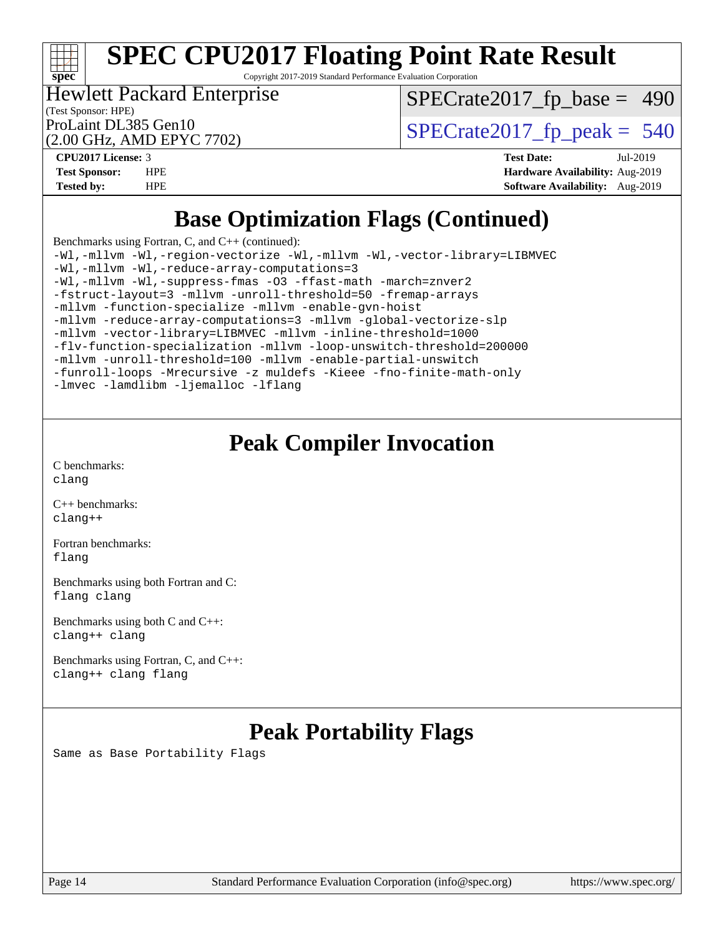#### H F **[spec](http://www.spec.org/)**

# **[SPEC CPU2017 Floating Point Rate Result](http://www.spec.org/auto/cpu2017/Docs/result-fields.html#SPECCPU2017FloatingPointRateResult)**

Copyright 2017-2019 Standard Performance Evaluation Corporation

### Hewlett Packard Enterprise

(Test Sponsor: HPE) (2.00 GHz, AMD EPYC 7702)  $SPECTate2017_fp\_base = 490$ 

ProLaint DL385 Gen10<br>(2.00 GHz, AMD EPYC 7702)  $\qquad$  [SPECrate2017\\_fp\\_peak =](http://www.spec.org/auto/cpu2017/Docs/result-fields.html#SPECrate2017fppeak) 540

**[CPU2017 License:](http://www.spec.org/auto/cpu2017/Docs/result-fields.html#CPU2017License)** 3 **[Test Date:](http://www.spec.org/auto/cpu2017/Docs/result-fields.html#TestDate)** Jul-2019 **[Test Sponsor:](http://www.spec.org/auto/cpu2017/Docs/result-fields.html#TestSponsor)** HPE **[Hardware Availability:](http://www.spec.org/auto/cpu2017/Docs/result-fields.html#HardwareAvailability)** Aug-2019 **[Tested by:](http://www.spec.org/auto/cpu2017/Docs/result-fields.html#Testedby)** HPE **[Software Availability:](http://www.spec.org/auto/cpu2017/Docs/result-fields.html#SoftwareAvailability)** Aug-2019

### **[Base Optimization Flags \(Continued\)](http://www.spec.org/auto/cpu2017/Docs/result-fields.html#BaseOptimizationFlags)**

[Benchmarks using Fortran, C, and C++](http://www.spec.org/auto/cpu2017/Docs/result-fields.html#BenchmarksusingFortranCandCXX) (continued): [-Wl,-mllvm -Wl,-region-vectorize](http://www.spec.org/cpu2017/results/res2019q3/cpu2017-20190723-16407.flags.html#user_CC_CXX_FCbase_F-region-vectorize_fb6c6b5aa293c88efc6c7c2b52b20755e943585b1fe8658c35afef78727fff56e1a56891413c30e36b8e2a6f9a71126986319243e80eb6110b78b288f533c52b) [-Wl,-mllvm -Wl,-vector-library=LIBMVEC](http://www.spec.org/cpu2017/results/res2019q3/cpu2017-20190723-16407.flags.html#user_CC_CXX_FCbase_F-use-vector-library_0a14b27fae317f283640384a31f7bfcc2bd4c1d0b5cfc618a3a430800c9b20217b00f61303eff223a3251b4f06ffbc9739dc5296db9d1fbb9ad24a3939d86d66)

[-Wl,-mllvm -Wl,-reduce-array-computations=3](http://www.spec.org/cpu2017/results/res2019q3/cpu2017-20190723-16407.flags.html#user_CC_CXX_FCbase_F-reduce-array-computations_b882aefe7a5dda4e33149f6299762b9a720dace3e498e13756f4c04e5a19edf5315c1f3993de2e61ec41e8c206231f84e05da7040e1bb5d69ba27d10a12507e4) [-Wl,-mllvm -Wl,-suppress-fmas](http://www.spec.org/cpu2017/results/res2019q3/cpu2017-20190723-16407.flags.html#user_CC_CXX_FCbase_F-suppress-fmas_f00f00630e4a059e8af9c161e9bbf420bcf19890a7f99d5933525e66aa4b0bb3ab2339d2b12d97d3a5f5d271e839fe9c109938e91fe06230fb53651590cfa1e8) [-O3](http://www.spec.org/cpu2017/results/res2019q3/cpu2017-20190723-16407.flags.html#user_CC_CXX_FCbase_F-O3) [-ffast-math](http://www.spec.org/cpu2017/results/res2019q3/cpu2017-20190723-16407.flags.html#user_CC_CXX_FCbase_aocc-ffast-math) [-march=znver2](http://www.spec.org/cpu2017/results/res2019q3/cpu2017-20190723-16407.flags.html#user_CC_CXX_FCbase_aocc-march_3e2e19cff2eeef60c5d90b059483627c9ea47eca6d66670dbd53f9185f6439e27eb5e104cf773e9e8ab18c8842ce63e461a3e948d0214bd567ef3ade411bf467) [-fstruct-layout=3](http://www.spec.org/cpu2017/results/res2019q3/cpu2017-20190723-16407.flags.html#user_CC_CXX_FCbase_F-struct-layout) [-mllvm -unroll-threshold=50](http://www.spec.org/cpu2017/results/res2019q3/cpu2017-20190723-16407.flags.html#user_CC_CXX_FCbase_F-unroll-threshold_458874500b2c105d6d5cb4d7a611c40e2b16e9e3d26b355fea72d644c3673b4de4b3932662f0ed3dbec75c491a13da2d2ca81180bd779dc531083ef1e1e549dc) [-fremap-arrays](http://www.spec.org/cpu2017/results/res2019q3/cpu2017-20190723-16407.flags.html#user_CC_CXX_FCbase_F-fremap-arrays) [-mllvm -function-specialize](http://www.spec.org/cpu2017/results/res2019q3/cpu2017-20190723-16407.flags.html#user_CC_CXX_FCbase_F-function-specialize_233b3bdba86027f1b094368157e481c5bc59f40286dc25bfadc1858dcd5745c24fd30d5f188710db7fea399bcc9f44a80b3ce3aacc70a8870250c3ae5e1f35b8) [-mllvm -enable-gvn-hoist](http://www.spec.org/cpu2017/results/res2019q3/cpu2017-20190723-16407.flags.html#user_CC_CXX_FCbase_F-enable-gvn-hoist_e5856354646dd6ca1333a0ad99b817e4cf8932b91b82809fd8fd47ceff7b22a89eba5c98fd3e3fa5200368fd772cec3dd56abc3c8f7b655a71b9f9848dddedd5) [-mllvm -reduce-array-computations=3](http://www.spec.org/cpu2017/results/res2019q3/cpu2017-20190723-16407.flags.html#user_CC_CXX_FCbase_F-reduce-array-computations_aceadb8604558b566e0e3a0d7a3c1533923dd1fa0889614e16288028922629a28d5695c24d3b3be4306b1e311c54317dfffe3a2e57fbcaabc737a1798de39145) [-mllvm -global-vectorize-slp](http://www.spec.org/cpu2017/results/res2019q3/cpu2017-20190723-16407.flags.html#user_CC_CXX_FCbase_F-global-vectorize-slp_a3935e8627af4ced727033b1ffd4db27f4d541a363d28d82bf4c2925fb3a0fd4115d6e42d13a2829f9e024d6608eb67a85cb49770f2da5c5ac8dbc737afad603) [-mllvm -vector-library=LIBMVEC](http://www.spec.org/cpu2017/results/res2019q3/cpu2017-20190723-16407.flags.html#user_CC_CXX_FCbase_F-use-vector-library_e584e20b4f7ec96aa109254b65d8e01d864f3d68580371b9d93ed7c338191d4cfce20c3c864632264effc6bbe4c7c38153d02096a342ee92501c4a53204a7871) [-mllvm -inline-threshold=1000](http://www.spec.org/cpu2017/results/res2019q3/cpu2017-20190723-16407.flags.html#user_CC_CXX_FCbase_dragonegg-llvm-inline-threshold_b7832241b0a6397e4ecdbaf0eb7defdc10f885c2a282fa3240fdc99844d543fda39cf8a4a9dccf68cf19b5438ac3b455264f478df15da0f4988afa40d8243bab) [-flv-function-specialization](http://www.spec.org/cpu2017/results/res2019q3/cpu2017-20190723-16407.flags.html#user_CC_CXX_FCbase_F-flv-function-specialization) [-mllvm -loop-unswitch-threshold=200000](http://www.spec.org/cpu2017/results/res2019q3/cpu2017-20190723-16407.flags.html#user_CC_CXX_FCbase_F-loop-unswitch-threshold_f9a82ae3270e55b5fbf79d0d96ee93606b73edbbe527d20b18b7bff1a3a146ad50cfc7454c5297978340ae9213029016a7d16221274d672d3f7f42ed25274e1d) [-mllvm -unroll-threshold=100](http://www.spec.org/cpu2017/results/res2019q3/cpu2017-20190723-16407.flags.html#user_CC_CXX_FCbase_F-unroll-threshold_2755d0c78138845d361fa1543e3a063fffa198df9b3edf0cfb856bbc88a81e1769b12ac7a550c5d35197be55360db1a3f95a8d1304df999456cabf5120c45168) [-mllvm -enable-partial-unswitch](http://www.spec.org/cpu2017/results/res2019q3/cpu2017-20190723-16407.flags.html#user_CC_CXX_FCbase_F-enable-partial-unswitch_6e1c33f981d77963b1eaf834973128a7f33ce3f8e27f54689656697a35e89dcc875281e0e6283d043e32f367dcb605ba0e307a92e830f7e326789fa6c61b35d3) [-funroll-loops](http://www.spec.org/cpu2017/results/res2019q3/cpu2017-20190723-16407.flags.html#user_CC_CXX_FCbase_aocc-unroll-loops) [-Mrecursive](http://www.spec.org/cpu2017/results/res2019q3/cpu2017-20190723-16407.flags.html#user_CC_CXX_FCbase_F-mrecursive_20a145d63f12d5750a899e17d4450b5b8b40330a9bb4af13688ca650e6fb30857bbbe44fb35cdbb895df6e5b2769de0a0d7659f51ff17acfbef6febafec4023f) [-z muldefs](http://www.spec.org/cpu2017/results/res2019q3/cpu2017-20190723-16407.flags.html#user_CC_CXX_FCbase_aocc-muldefs) [-Kieee](http://www.spec.org/cpu2017/results/res2019q3/cpu2017-20190723-16407.flags.html#user_CC_CXX_FCbase_F-kieee) [-fno-finite-math-only](http://www.spec.org/cpu2017/results/res2019q3/cpu2017-20190723-16407.flags.html#user_CC_CXX_FCbase_aocc-fno-finite-math-only)

[-lmvec](http://www.spec.org/cpu2017/results/res2019q3/cpu2017-20190723-16407.flags.html#user_CC_CXX_FCbase_F-lmvec) [-lamdlibm](http://www.spec.org/cpu2017/results/res2019q3/cpu2017-20190723-16407.flags.html#user_CC_CXX_FCbase_F-lamdlibm) [-ljemalloc](http://www.spec.org/cpu2017/results/res2019q3/cpu2017-20190723-16407.flags.html#user_CC_CXX_FCbase_jemalloc-lib) [-lflang](http://www.spec.org/cpu2017/results/res2019q3/cpu2017-20190723-16407.flags.html#user_CC_CXX_FCbase_F-lflang)

### **[Peak Compiler Invocation](http://www.spec.org/auto/cpu2017/Docs/result-fields.html#PeakCompilerInvocation)**

[C benchmarks](http://www.spec.org/auto/cpu2017/Docs/result-fields.html#Cbenchmarks): [clang](http://www.spec.org/cpu2017/results/res2019q3/cpu2017-20190723-16407.flags.html#user_CCpeak_clang-c)

[C++ benchmarks:](http://www.spec.org/auto/cpu2017/Docs/result-fields.html#CXXbenchmarks) [clang++](http://www.spec.org/cpu2017/results/res2019q3/cpu2017-20190723-16407.flags.html#user_CXXpeak_clang-cpp)

[Fortran benchmarks](http://www.spec.org/auto/cpu2017/Docs/result-fields.html#Fortranbenchmarks): [flang](http://www.spec.org/cpu2017/results/res2019q3/cpu2017-20190723-16407.flags.html#user_FCpeak_flang)

[Benchmarks using both Fortran and C](http://www.spec.org/auto/cpu2017/Docs/result-fields.html#BenchmarksusingbothFortranandC): [flang](http://www.spec.org/cpu2017/results/res2019q3/cpu2017-20190723-16407.flags.html#user_CC_FCpeak_flang) [clang](http://www.spec.org/cpu2017/results/res2019q3/cpu2017-20190723-16407.flags.html#user_CC_FCpeak_clang-c)

[Benchmarks using both C and C++](http://www.spec.org/auto/cpu2017/Docs/result-fields.html#BenchmarksusingbothCandCXX): [clang++](http://www.spec.org/cpu2017/results/res2019q3/cpu2017-20190723-16407.flags.html#user_CC_CXXpeak_clang-cpp) [clang](http://www.spec.org/cpu2017/results/res2019q3/cpu2017-20190723-16407.flags.html#user_CC_CXXpeak_clang-c)

[Benchmarks using Fortran, C, and C++:](http://www.spec.org/auto/cpu2017/Docs/result-fields.html#BenchmarksusingFortranCandCXX) [clang++](http://www.spec.org/cpu2017/results/res2019q3/cpu2017-20190723-16407.flags.html#user_CC_CXX_FCpeak_clang-cpp) [clang](http://www.spec.org/cpu2017/results/res2019q3/cpu2017-20190723-16407.flags.html#user_CC_CXX_FCpeak_clang-c) [flang](http://www.spec.org/cpu2017/results/res2019q3/cpu2017-20190723-16407.flags.html#user_CC_CXX_FCpeak_flang)

### **[Peak Portability Flags](http://www.spec.org/auto/cpu2017/Docs/result-fields.html#PeakPortabilityFlags)**

Same as Base Portability Flags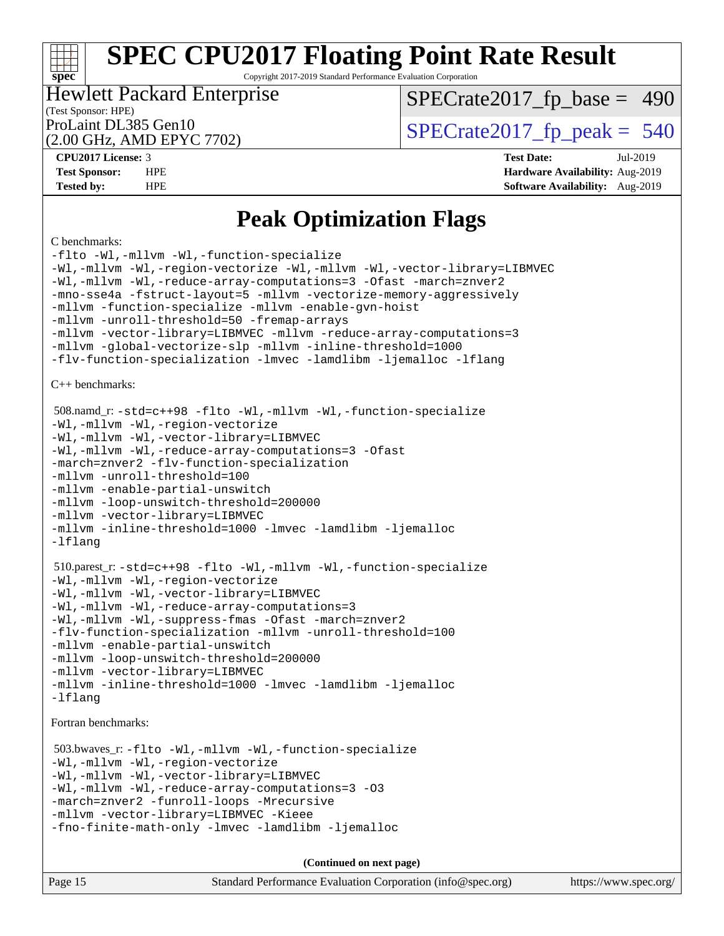Copyright 2017-2019 Standard Performance Evaluation Corporation

## Hewlett Packard Enterprise

[SPECrate2017\\_fp\\_base =](http://www.spec.org/auto/cpu2017/Docs/result-fields.html#SPECrate2017fpbase) 490

### (Test Sponsor: HPE)

(2.00 GHz, AMD EPYC 7702)

ProLaint DL385 Gen10<br>  $(2.00 \text{ GHz} \cdot \text{AMD FPVC } 7702)$  [SPECrate2017\\_fp\\_peak =](http://www.spec.org/auto/cpu2017/Docs/result-fields.html#SPECrate2017fppeak) 540

**[CPU2017 License:](http://www.spec.org/auto/cpu2017/Docs/result-fields.html#CPU2017License)** 3 **[Test Date:](http://www.spec.org/auto/cpu2017/Docs/result-fields.html#TestDate)** Jul-2019 **[Test Sponsor:](http://www.spec.org/auto/cpu2017/Docs/result-fields.html#TestSponsor)** HPE **[Hardware Availability:](http://www.spec.org/auto/cpu2017/Docs/result-fields.html#HardwareAvailability)** Aug-2019 **[Tested by:](http://www.spec.org/auto/cpu2017/Docs/result-fields.html#Testedby)** HPE **[Software Availability:](http://www.spec.org/auto/cpu2017/Docs/result-fields.html#SoftwareAvailability)** Aug-2019

### **[Peak Optimization Flags](http://www.spec.org/auto/cpu2017/Docs/result-fields.html#PeakOptimizationFlags)**

#### [C benchmarks:](http://www.spec.org/auto/cpu2017/Docs/result-fields.html#Cbenchmarks)

**[spec](http://www.spec.org/)**

```
-flto -Wl,-mllvm -Wl,-function-specialize
-Wl,-mllvm -Wl,-region-vectorize -Wl,-mllvm -Wl,-vector-library=LIBMVEC
-Wl,-mllvm -Wl,-reduce-array-computations=3 -Ofast -march=znver2
-mno-sse4a -fstruct-layout=5 -mllvm -vectorize-memory-aggressively
-mllvm -function-specialize -mllvm -enable-gvn-hoist
-mllvm -unroll-threshold=50 -fremap-arrays
-mllvm -vector-library=LIBMVEC -mllvm -reduce-array-computations=3
-mllvm -global-vectorize-slp -mllvm -inline-threshold=1000
-flv-function-specialization -lmvec -lamdlibm -ljemalloc -lflang
C++ benchmarks: 
 508.namd_r: -std=c++98 -flto -Wl,-mllvm -Wl,-function-specialize
-Wl,-mllvm -Wl,-region-vectorize
-Wl,-mllvm -Wl,-vector-library=LIBMVEC
-Wl,-mllvm -Wl,-reduce-array-computations=3 -Ofast
-march=znver2 -flv-function-specialization
-mllvm -unroll-threshold=100
-mllvm -enable-partial-unswitch
-mllvm -loop-unswitch-threshold=200000
-mllvm -vector-library=LIBMVEC
-mllvm -inline-threshold=1000 -lmvec -lamdlibm -ljemalloc
-lflang
 510.parest_r: -std=c++98 -flto -Wl,-mllvm -Wl,-function-specialize
-Wl,-mllvm -Wl,-region-vectorize
-Wl,-mllvm -Wl,-vector-library=LIBMVEC
-Wl,-mllvm -Wl,-reduce-array-computations=3
-Wl,-mllvm -Wl,-suppress-fmas -Ofast -march=znver2
-flv-function-specialization -mllvm -unroll-threshold=100
-mllvm -enable-partial-unswitch
-mllvm -loop-unswitch-threshold=200000
-mllvm -vector-library=LIBMVEC
-mllvm -inline-threshold=1000 -lmvec -lamdlibm -ljemalloc
-lflang
Fortran benchmarks: 
 503.bwaves_r: -flto -Wl,-mllvm -Wl,-function-specialize
-Wl,-mllvm -Wl,-region-vectorize
-Wl,-mllvm -Wl,-vector-library=LIBMVEC
-Wl,-mllvm -Wl,-reduce-array-computations=3 -O3
-march=znver2 -funroll-loops -Mrecursive
-mllvm -vector-library=LIBMVEC -Kieee
-fno-finite-math-only -lmvec -lamdlibm -ljemalloc
                                    (Continued on next page)
```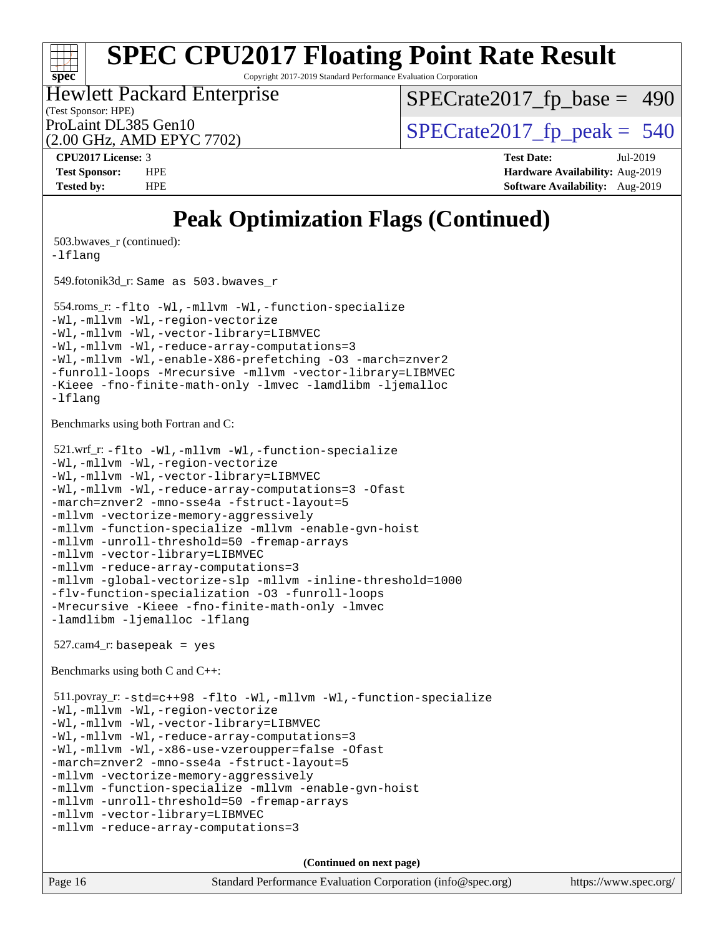Copyright 2017-2019 Standard Performance Evaluation Corporation

(Test Sponsor: HPE) Hewlett Packard Enterprise ProLaint DL385 Gen10<br>  $(2.00 \text{ GHz} \cdot \text{AMD FPVC } 7702)$  [SPECrate2017\\_fp\\_peak =](http://www.spec.org/auto/cpu2017/Docs/result-fields.html#SPECrate2017fppeak) 540

 $SPECTate2017_fp\_base = 490$ 

(2.00 GHz, AMD EPYC 7702)

**[Tested by:](http://www.spec.org/auto/cpu2017/Docs/result-fields.html#Testedby)** HPE **[Software Availability:](http://www.spec.org/auto/cpu2017/Docs/result-fields.html#SoftwareAvailability)** Aug-2019

**[spec](http://www.spec.org/)**

**[CPU2017 License:](http://www.spec.org/auto/cpu2017/Docs/result-fields.html#CPU2017License)** 3 **[Test Date:](http://www.spec.org/auto/cpu2017/Docs/result-fields.html#TestDate)** Jul-2019 **[Test Sponsor:](http://www.spec.org/auto/cpu2017/Docs/result-fields.html#TestSponsor)** HPE **[Hardware Availability:](http://www.spec.org/auto/cpu2017/Docs/result-fields.html#HardwareAvailability)** Aug-2019

### **[Peak Optimization Flags \(Continued\)](http://www.spec.org/auto/cpu2017/Docs/result-fields.html#PeakOptimizationFlags)**

```
 503.bwaves_r (continued):
-lflang
 549.fotonik3d_r: Same as 503.bwaves_r
 554.roms_r: -flto -Wl,-mllvm -Wl,-function-specialize
-Wl,-mllvm -Wl,-region-vectorize
-Wl,-mllvm -Wl,-vector-library=LIBMVEC
-Wl,-mllvm -Wl,-reduce-array-computations=3
-Wl,-mllvm -Wl,-enable-X86-prefetching -O3 -march=znver2
-funroll-loops -Mrecursive -mllvm -vector-library=LIBMVEC
-Kieee -fno-finite-math-only -lmvec -lamdlibm -ljemalloc
-lflang
Benchmarks using both Fortran and C: 
 521.wrf_r: -flto -Wl,-mllvm -Wl,-function-specialize
-Wl,-mllvm -Wl,-region-vectorize
-Wl,-mllvm -Wl,-vector-library=LIBMVEC
-Wl,-mllvm -Wl,-reduce-array-computations=3 -Ofast
-march=znver2 -mno-sse4a -fstruct-layout=5
-mllvm -vectorize-memory-aggressively
-mllvm -function-specialize -mllvm -enable-gvn-hoist
-mllvm -unroll-threshold=50 -fremap-arrays
-mllvm -vector-library=LIBMVEC
-mllvm -reduce-array-computations=3
-mllvm -global-vectorize-slp -mllvm -inline-threshold=1000
-flv-function-specialization -O3 -funroll-loops
-Mrecursive -Kieee -fno-finite-math-only -lmvec
-lamdlibm -ljemalloc -lflang
 527.cam4_r: basepeak = yes
Benchmarks using both C and C++: 
 511.povray_r: -std=c++98 -flto -Wl,-mllvm -Wl,-function-specialize
-Wl,-mllvm -Wl,-region-vectorize
-Wl,-mllvm -Wl,-vector-library=LIBMVEC
-Wl,-mllvm -Wl,-reduce-array-computations=3
-Wl,-mllvm -Wl,-x86-use-vzeroupper=false -Ofast
-march=znver2 -mno-sse4a -fstruct-layout=5
-mllvm -vectorize-memory-aggressively
-mllvm -function-specialize -mllvm -enable-gvn-hoist
-mllvm -unroll-threshold=50 -fremap-arrays
-mllvm -vector-library=LIBMVEC
-mllvm -reduce-array-computations=3
                                     (Continued on next page)
```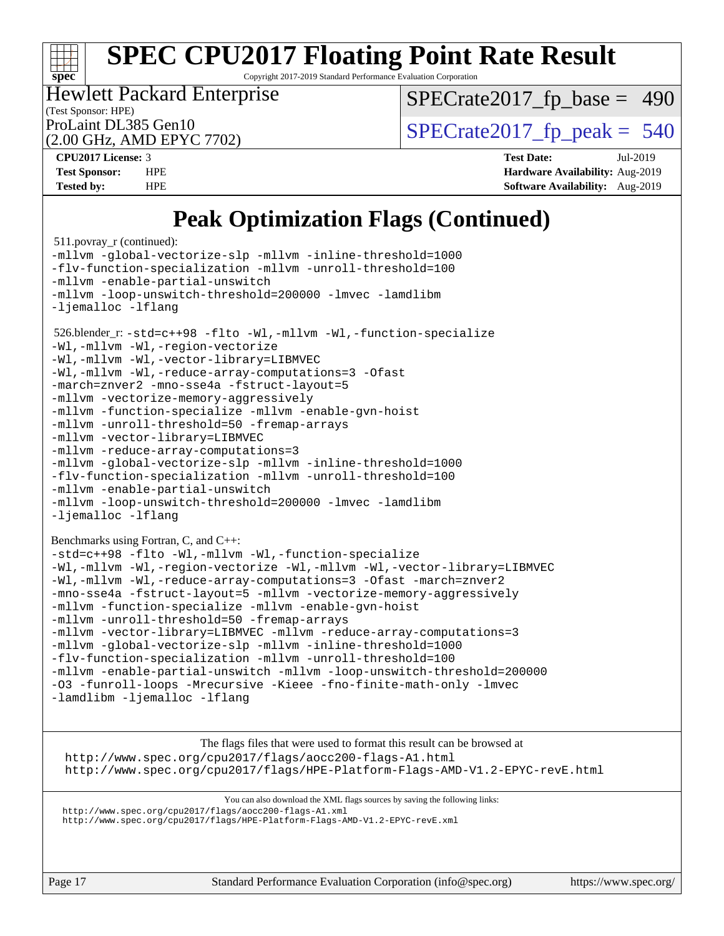Copyright 2017-2019 Standard Performance Evaluation Corporation

(Test Sponsor: HPE) Hewlett Packard Enterprise

 $SPECTate2017_fp\_base = 490$ 

(2.00 GHz, AMD EPYC 7702)

ProLaint DL385 Gen10<br>  $\text{SPECrate2017\_fp\_peak} = 540$ 

**[spec](http://www.spec.org/)**

**[CPU2017 License:](http://www.spec.org/auto/cpu2017/Docs/result-fields.html#CPU2017License)** 3 **[Test Date:](http://www.spec.org/auto/cpu2017/Docs/result-fields.html#TestDate)** Jul-2019 **[Test Sponsor:](http://www.spec.org/auto/cpu2017/Docs/result-fields.html#TestSponsor)** HPE **[Hardware Availability:](http://www.spec.org/auto/cpu2017/Docs/result-fields.html#HardwareAvailability)** Aug-2019 **[Tested by:](http://www.spec.org/auto/cpu2017/Docs/result-fields.html#Testedby)** HPE **[Software Availability:](http://www.spec.org/auto/cpu2017/Docs/result-fields.html#SoftwareAvailability)** Aug-2019

### **[Peak Optimization Flags \(Continued\)](http://www.spec.org/auto/cpu2017/Docs/result-fields.html#PeakOptimizationFlags)**

```
 511.povray_r (continued):
-mllvm -global-vectorize-slp -mllvm -inline-threshold=1000
-flv-function-specialization -mllvm -unroll-threshold=100
-mllvm -enable-partial-unswitch
-mllvm -loop-unswitch-threshold=200000 -lmvec -lamdlibm
-ljemalloc -lflang
 526.blender_r: -std=c++98 -flto -Wl,-mllvm -Wl,-function-specialize
-Wl,-mllvm -Wl,-region-vectorize
-Wl,-mllvm -Wl,-vector-library=LIBMVEC
-Wl,-mllvm -Wl,-reduce-array-computations=3 -Ofast
-march=znver2 -mno-sse4a -fstruct-layout=5
-mllvm -vectorize-memory-aggressively
-mllvm -function-specialize -mllvm -enable-gvn-hoist
-mllvm -unroll-threshold=50 -fremap-arrays
-mllvm -vector-library=LIBMVEC
-mllvm -reduce-array-computations=3
-mllvm -global-vectorize-slp -mllvm -inline-threshold=1000
-flv-function-specialization -mllvm -unroll-threshold=100
-mllvm -enable-partial-unswitch
-mllvm -loop-unswitch-threshold=200000 -lmvec -lamdlibm
-ljemalloc -lflang
Benchmarks using Fortran, C, and C++: 
-std=c++98 -flto -Wl,-mllvm -Wl,-function-specialize
-Wl,-mllvm -Wl,-region-vectorize -Wl,-mllvm -Wl,-vector-library=LIBMVEC
-Wl,-mllvm -Wl,-reduce-array-computations=3 -Ofast -march=znver2
-mno-sse4a -fstruct-layout=5 -mllvm -vectorize-memory-aggressively
-mllvm -function-specialize -mllvm -enable-gvn-hoist
-mllvm -unroll-threshold=50 -fremap-arrays
-mllvm -vector-library=LIBMVEC -mllvm -reduce-array-computations=3
-mllvm -global-vectorize-slp -mllvm -inline-threshold=1000
-flv-function-specialization -mllvm -unroll-threshold=100
-mllvm -enable-partial-unswitch -mllvm -loop-unswitch-threshold=200000
-O3 -funroll-loops -Mrecursive -Kieee -fno-finite-math-only -lmvec
-lamdlibm -ljemalloc -lflang
```
The flags files that were used to format this result can be browsed at <http://www.spec.org/cpu2017/flags/aocc200-flags-A1.html> <http://www.spec.org/cpu2017/flags/HPE-Platform-Flags-AMD-V1.2-EPYC-revE.html>

You can also download the XML flags sources by saving the following links: <http://www.spec.org/cpu2017/flags/aocc200-flags-A1.xml> <http://www.spec.org/cpu2017/flags/HPE-Platform-Flags-AMD-V1.2-EPYC-revE.xml>